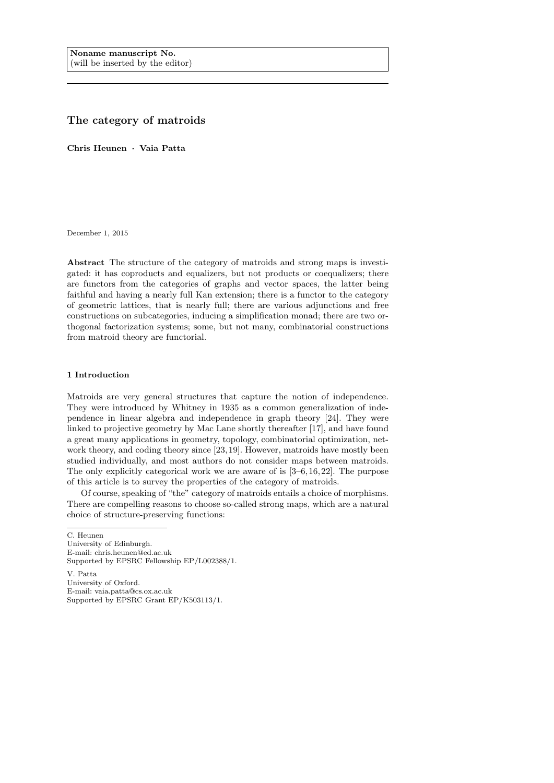# The category of matroids

Chris Heunen · Vaia Patta

December 1, 2015

Abstract The structure of the category of matroids and strong maps is investigated: it has coproducts and equalizers, but not products or coequalizers; there are functors from the categories of graphs and vector spaces, the latter being faithful and having a nearly full Kan extension; there is a functor to the category of geometric lattices, that is nearly full; there are various adjunctions and free constructions on subcategories, inducing a simplification monad; there are two orthogonal factorization systems; some, but not many, combinatorial constructions from matroid theory are functorial.

#### 1 Introduction

Matroids are very general structures that capture the notion of independence. They were introduced by Whitney in 1935 as a common generalization of independence in linear algebra and independence in graph theory [24]. They were linked to projective geometry by Mac Lane shortly thereafter [17], and have found a great many applications in geometry, topology, combinatorial optimization, network theory, and coding theory since [23, 19]. However, matroids have mostly been studied individually, and most authors do not consider maps between matroids. The only explicitly categorical work we are aware of is [3–6, 16,22]. The purpose of this article is to survey the properties of the category of matroids.

Of course, speaking of "the" category of matroids entails a choice of morphisms. There are compelling reasons to choose so-called strong maps, which are a natural choice of structure-preserving functions:

C. Heunen University of Edinburgh. E-mail: chris.heunen@ed.ac.uk Supported by EPSRC Fellowship EP/L002388/1.

V. Patta University of Oxford. E-mail: vaia.patta@cs.ox.ac.uk Supported by EPSRC Grant EP/K503113/1.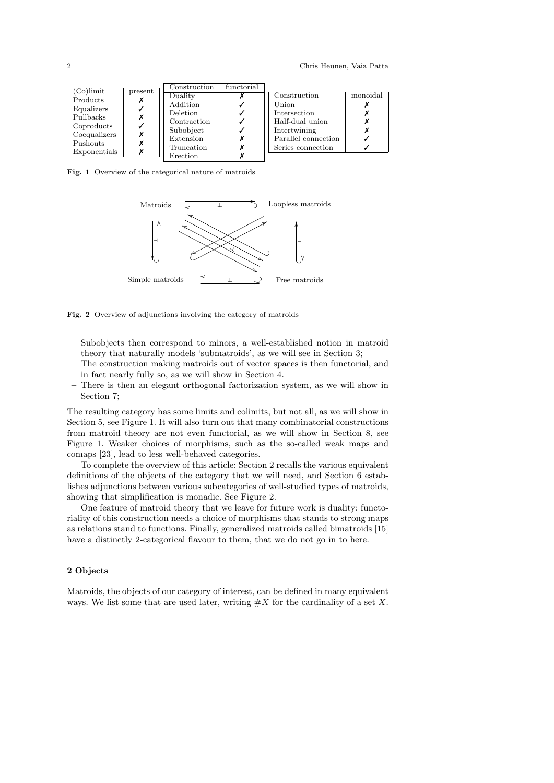| (Co)limit    | present | Construction    | functorial |                     |          |
|--------------|---------|-----------------|------------|---------------------|----------|
|              |         | Duality         |            | Construction        | monoidal |
| Products     |         | Addition        |            | Union               |          |
| Equalizers   |         | <b>Deletion</b> |            | Intersection        |          |
| Pullbacks    |         | Contraction     |            | Half-dual union     |          |
| Coproducts   |         |                 |            |                     |          |
| Coequalizers |         | Subobject       |            | Intertwining        |          |
| Pushouts     |         | Extension       |            | Parallel connection |          |
|              |         | Truncation      |            | Series connection   |          |
| Exponentials |         | Erection        |            |                     |          |

Fig. 1 Overview of the categorical nature of matroids



Fig. 2 Overview of adjunctions involving the category of matroids

- Subobjects then correspond to minors, a well-established notion in matroid theory that naturally models 'submatroids', as we will see in Section 3;
- The construction making matroids out of vector spaces is then functorial, and in fact nearly fully so, as we will show in Section 4.
- There is then an elegant orthogonal factorization system, as we will show in Section 7;

The resulting category has some limits and colimits, but not all, as we will show in Section 5, see Figure 1. It will also turn out that many combinatorial constructions from matroid theory are not even functorial, as we will show in Section 8, see Figure 1. Weaker choices of morphisms, such as the so-called weak maps and comaps [23], lead to less well-behaved categories.

To complete the overview of this article: Section 2 recalls the various equivalent definitions of the objects of the category that we will need, and Section 6 establishes adjunctions between various subcategories of well-studied types of matroids, showing that simplification is monadic. See Figure 2.

One feature of matroid theory that we leave for future work is duality: functoriality of this construction needs a choice of morphisms that stands to strong maps as relations stand to functions. Finally, generalized matroids called bimatroids [15] have a distinctly 2-categorical flavour to them, that we do not go in to here.

## 2 Objects

Matroids, the objects of our category of interest, can be defined in many equivalent ways. We list some that are used later, writing  $\#X$  for the cardinality of a set X.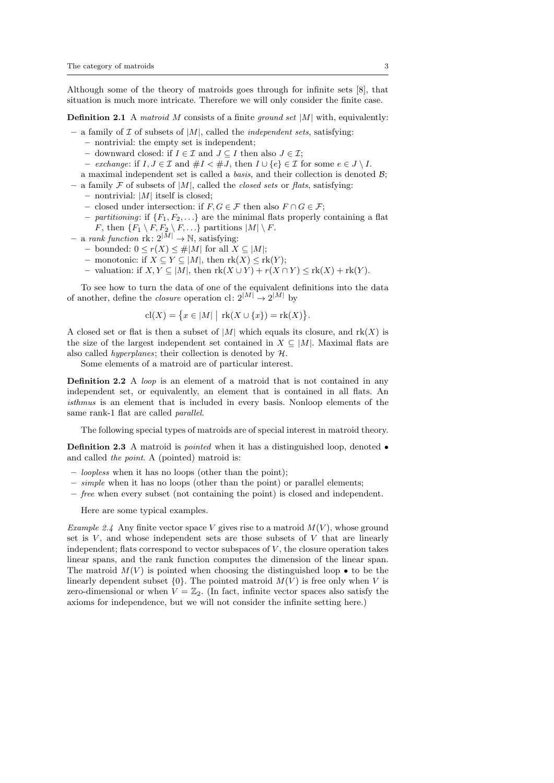Although some of the theory of matroids goes through for infinite sets [8], that situation is much more intricate. Therefore we will only consider the finite case.

**Definition 2.1** A matroid M consists of a finite ground set  $|M|$  with, equivalently:

- a family of  $\mathcal I$  of subsets of  $|M|$ , called the *independent sets*, satisfying:
	- nontrivial: the empty set is independent;
	- downward closed: if  $I \in \mathcal{I}$  and  $J \subseteq I$  then also  $J \in \mathcal{I}$ ;
	- exchange: if  $I, J \in \mathcal{I}$  and  $\#I < \#J$ , then  $I \cup \{e\} \in \mathcal{I}$  for some  $e \in J \setminus I$ .
	- a maximal independent set is called a *basis*, and their collection is denoted  $\mathcal{B}$ ;

– a family F of subsets of  $|M|$ , called the *closed sets* or *flats*, satisfying:

- $-$  nontrivial: |M| itself is closed;
- closed under intersection: if  $F, G \in \mathcal{F}$  then also  $F \cap G \in \mathcal{F}$ ;
- partitioning: if  ${F_1, F_2, \ldots}$  are the minimal flats properly containing a flat F, then  $\{F_1 \setminus F, F_2 \setminus F, \ldots\}$  partitions  $|M| \setminus F$ .
- a rank function  $\text{rk}: 2^{|M|} \to \mathbb{N}$ , satisfying:
	- bounded: 0 ≤ r(X) ≤ #|M| for all X ⊆ |M|;
	- monotonic: if  $X \subseteq Y \subseteq |M|$ , then  $rk(X) \leq rk(Y)$ ;
	- valuation: if  $X, Y \subseteq |M|$ , then  $rk(X \cup Y) + r(X \cap Y) \leq rk(X) + rk(Y)$ .

To see how to turn the data of one of the equivalent definitions into the data of another, define the *closure* operation cl:  $2^{|M|} \rightarrow 2^{|M|}$  by

$$
cl(X) = \{ x \in |M| \mid rk(X \cup \{x\}) = rk(X) \}.
$$

A closed set or flat is then a subset of  $|M|$  which equals its closure, and  $rk(X)$  is the size of the largest independent set contained in  $X \subseteq |M|$ . Maximal flats are also called *hyperplanes*; their collection is denoted by  $H$ .

Some elements of a matroid are of particular interest.

Definition 2.2 A loop is an element of a matroid that is not contained in any independent set, or equivalently, an element that is contained in all flats. An isthmus is an element that is included in every basis. Nonloop elements of the same rank-1 flat are called parallel.

The following special types of matroids are of special interest in matroid theory.

Definition 2.3 A matroid is *pointed* when it has a distinguished loop, denoted • and called the point. A (pointed) matroid is:

- loopless when it has no loops (other than the point);
- simple when it has no loops (other than the point) or parallel elements;
- free when every subset (not containing the point) is closed and independent.

Here are some typical examples.

Example 2.4 Any finite vector space V gives rise to a matroid  $M(V)$ , whose ground set is  $V$ , and whose independent sets are those subsets of  $V$  that are linearly independent; flats correspond to vector subspaces of  $V$ , the closure operation takes linear spans, and the rank function computes the dimension of the linear span. The matroid  $M(V)$  is pointed when choosing the distinguished loop  $\bullet$  to be the linearly dependent subset  $\{0\}$ . The pointed matroid  $M(V)$  is free only when V is zero-dimensional or when  $V = \mathbb{Z}_2$ . (In fact, infinite vector spaces also satisfy the axioms for independence, but we will not consider the infinite setting here.)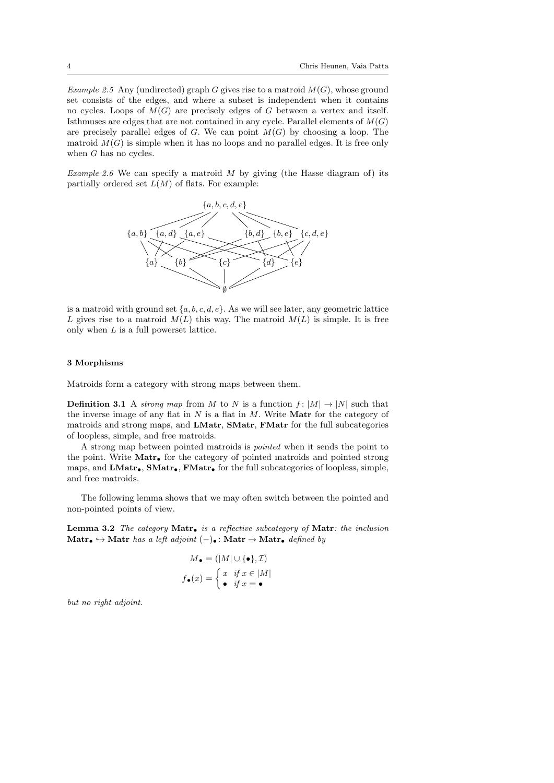Example 2.5 Any (undirected) graph G gives rise to a matroid  $M(G)$ , whose ground set consists of the edges, and where a subset is independent when it contains no cycles. Loops of  $M(G)$  are precisely edges of G between a vertex and itself. Isthmuses are edges that are not contained in any cycle. Parallel elements of  $M(G)$ are precisely parallel edges of  $G$ . We can point  $M(G)$  by choosing a loop. The matroid  $M(G)$  is simple when it has no loops and no parallel edges. It is free only when G has no cycles.

Example 2.6 We can specify a matroid  $M$  by giving (the Hasse diagram of) its partially ordered set  $L(M)$  of flats. For example:



is a matroid with ground set  $\{a, b, c, d, e\}$ . As we will see later, any geometric lattice L gives rise to a matroid  $M(L)$  this way. The matroid  $M(L)$  is simple. It is free only when  $L$  is a full powerset lattice.

### 3 Morphisms

Matroids form a category with strong maps between them.

**Definition 3.1** A strong map from M to N is a function  $f : |M| \rightarrow |N|$  such that the inverse image of any flat in  $N$  is a flat in  $M$ . Write **Matr** for the category of matroids and strong maps, and LMatr, SMatr, FMatr for the full subcategories of loopless, simple, and free matroids.

A strong map between pointed matroids is pointed when it sends the point to the point. Write Matr• for the category of pointed matroids and pointed strong maps, and  $LMatr_{\bullet}$ ,  $SMatr_{\bullet}$ ,  $FMatr_{\bullet}$  for the full subcategories of loopless, simple, and free matroids.

The following lemma shows that we may often switch between the pointed and non-pointed points of view.

**Lemma 3.2** The category Matr<sub> $\bullet$ </sub> is a reflective subcategory of Matr: the inclusion Matr $\bullet \hookrightarrow$  Matr has a left adjoint  $(-)$ • : Matr $\rightarrow$  Matr $\bullet$  defined by

$$
M_{\bullet} = (|M| \cup {\bullet}, \mathcal{I})
$$

$$
f_{\bullet}(x) = \begin{cases} x & \text{if } x \in |M| \\ \bullet & \text{if } x = \bullet \end{cases}
$$

but no right adjoint.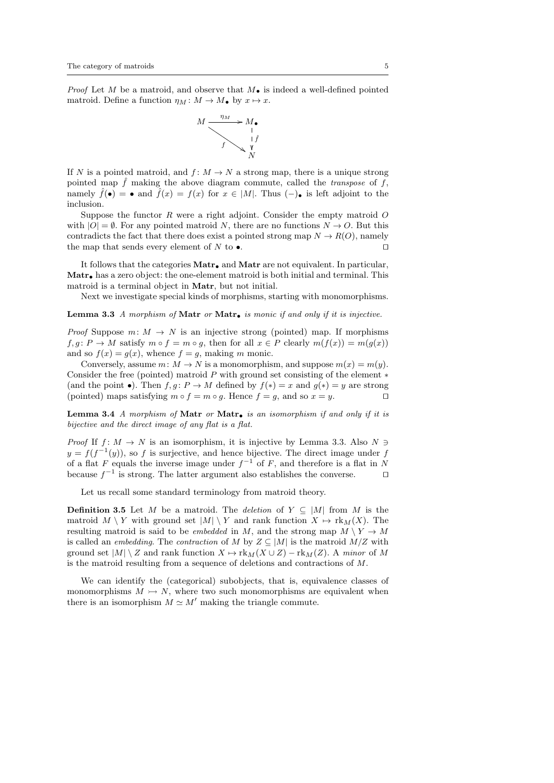*Proof* Let M be a matroid, and observe that  $M_{\bullet}$  is indeed a well-defined pointed matroid. Define a function  $\eta_M : M \to M_{\bullet}$  by  $x \mapsto x$ .



If N is a pointed matroid, and  $f: M \to N$  a strong map, there is a unique strong pointed map  $\hat{f}$  making the above diagram commute, called the *transpose* of f, namely  $\hat{f}(\bullet) = \bullet$  and  $\hat{f}(x) = f(x)$  for  $x \in |M|$ . Thus  $(-)$ • is left adjoint to the inclusion.

Suppose the functor  $R$  were a right adjoint. Consider the empty matroid  $O$ with  $|O| = \emptyset$ . For any pointed matroid N, there are no functions  $N \to O$ . But this contradicts the fact that there does exist a pointed strong map  $N \to R(O)$ , namely the map that sends every element of N to  $\bullet$ .

It follows that the categories  $\text{Matr}_{\bullet}$  and  $\text{Matr}$  are not equivalent. In particular, Matr• has a zero object: the one-element matroid is both initial and terminal. This matroid is a terminal object in Matr, but not initial.

Next we investigate special kinds of morphisms, starting with monomorphisms.

**Lemma 3.3** A morphism of Matr or Matr. is monic if and only if it is injective.

*Proof* Suppose  $m: M \to N$  is an injective strong (pointed) map. If morphisms  $f, g \colon P \to M$  satisfy  $m \circ f = m \circ g$ , then for all  $x \in P$  clearly  $m(f(x)) = m(g(x))$ and so  $f(x) = g(x)$ , whence  $f = g$ , making m monic.

Conversely, assume  $m: M \to N$  is a monomorphism, and suppose  $m(x) = m(y)$ . Consider the free (pointed) matroid  $P$  with ground set consisting of the element  $*$ (and the point •). Then  $f, g \colon P \to M$  defined by  $f(*) = x$  and  $g(*) = y$  are strong (pointed) maps satisfying  $m \circ f = m \circ g$ . Hence  $f = g$ , and so  $x = y$ .

**Lemma 3.4** A morphism of Matr or Matr. is an isomorphism if and only if it is bijective and the direct image of any flat is a flat.

*Proof* If  $f: M \to N$  is an isomorphism, it is injective by Lemma 3.3. Also  $N \ni$  $y = f(f^{-1}(y))$ , so f is surjective, and hence bijective. The direct image under f of a flat F equals the inverse image under  $f^{-1}$  of F, and therefore is a flat in N because  $f^{-1}$  is strong. The latter argument also establishes the converse.  $\Box$ 

Let us recall some standard terminology from matroid theory.

**Definition 3.5** Let M be a matroid. The deletion of  $Y \subseteq |M|$  from M is the matroid  $M \setminus Y$  with ground set  $|M| \setminus Y$  and rank function  $X \mapsto \text{rk}_M(X)$ . The resulting matroid is said to be *embedded* in M, and the strong map  $M \ Y \to M$ is called an *embedding*. The *contraction* of M by  $Z \subseteq |M|$  is the matroid  $M/Z$  with ground set  $|M| \setminus Z$  and rank function  $X \mapsto \text{rk}_M(X \cup Z) - \text{rk}_M(Z)$ . A minor of M is the matroid resulting from a sequence of deletions and contractions of M.

We can identify the (categorical) subobjects, that is, equivalence classes of monomorphisms  $M \rightarrow N$ , where two such monomorphisms are equivalent when there is an isomorphism  $M \simeq M'$  making the triangle commute.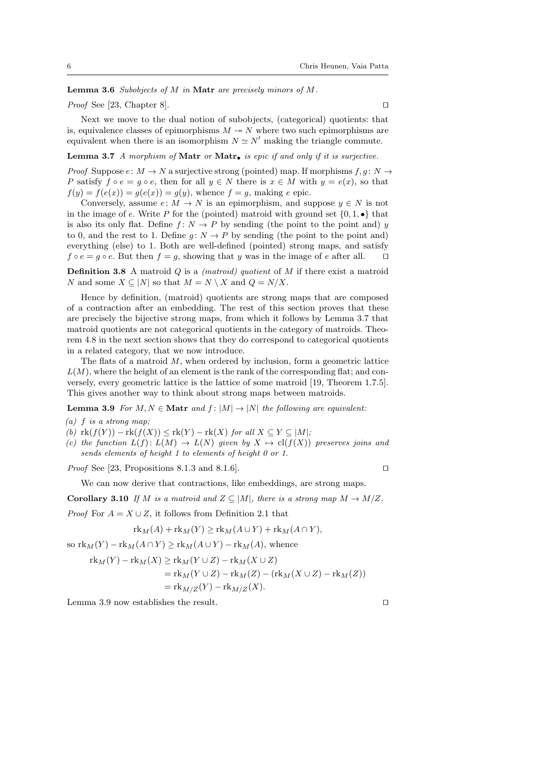**Lemma 3.6** Subobjects of  $M$  in Matr are precisely minors of  $M$ .

*Proof* See [23, Chapter 8].  $\Box$ 

Next we move to the dual notion of subobjects, (categorical) quotients: that is, equivalence classes of epimorphisms  $M \rightarrow N$  where two such epimorphisms are equivalent when there is an isomorphism  $N \simeq N'$  making the triangle commute.

## Lemma 3.7 A morphism of Matr or Matr<sub> $\bullet$ </sub> is epic if and only if it is surjective.

*Proof* Suppose  $e: M \to N$  a surjective strong (pointed) map. If morphisms  $f, g: N \to$ P satisfy  $f \circ e = g \circ e$ , then for all  $y \in N$  there is  $x \in M$  with  $y = e(x)$ , so that  $f(y) = f(e(x)) = q(e(x)) = q(y)$ , whence  $f = q$ , making e epic.

Conversely, assume  $e: M \to N$  is an epimorphism, and suppose  $y \in N$  is not in the image of e. Write P for the (pointed) matroid with ground set  $\{0, 1, \bullet\}$  that is also its only flat. Define  $f: N \to P$  by sending (the point to the point and) y to 0, and the rest to 1. Define  $g: N \to P$  by sending (the point to the point and) everything (else) to 1. Both are well-defined (pointed) strong maps, and satisfy  $f \circ e = g \circ e$ . But then  $f = g$ , showing that y was in the image of e after all.  $\Box$ 

**Definition 3.8** A matroid  $Q$  is a *(matroid) quotient* of  $M$  if there exist a matroid N and some  $X \subseteq |N|$  so that  $M = N \setminus X$  and  $Q = N/X$ .

Hence by definition, (matroid) quotients are strong maps that are composed of a contraction after an embedding. The rest of this section proves that these are precisely the bijective strong maps, from which it follows by Lemma 3.7 that matroid quotients are not categorical quotients in the category of matroids. Theorem 4.8 in the next section shows that they do correspond to categorical quotients in a related category, that we now introduce.

The flats of a matroid  $M$ , when ordered by inclusion, form a geometric lattice  $L(M)$ , where the height of an element is the rank of the corresponding flat; and conversely, every geometric lattice is the lattice of some matroid [19, Theorem 1.7.5]. This gives another way to think about strong maps between matroids.

**Lemma 3.9** For  $M, N \in \mathbf{Matr}$  and  $f : |M| \to |N|$  the following are equivalent:

(a)  $f$  is a strong map;

- (b)  $\text{rk}(f(Y)) \text{rk}(f(X)) \leq \text{rk}(Y) \text{rk}(X)$  for all  $X \subseteq Y \subseteq |M|$ ;
- (c) the function  $L(f): L(M) \to L(N)$  given by  $X \mapsto cl(f(X))$  preserves joins and sends elements of height 1 to elements of height 0 or 1.

*Proof* See [23, Propositions 8.1.3 and 8.1.6].

We can now derive that contractions, like embeddings, are strong maps.

**Corollary 3.10** If M is a matroid and  $Z \subseteq |M|$ , there is a strong map  $M \to M/Z$ .

*Proof* For  $A = X \cup Z$ , it follows from Definition 2.1 that

$$
rk_M(A) + rk_M(Y) \ge rk_M(A \cup Y) + rk_M(A \cap Y),
$$

so  $\text{rk}_M(Y) - \text{rk}_M(A \cap Y) \ge \text{rk}_M(A \cup Y) - \text{rk}_M(A)$ , whence

$$
\mathrm{rk}_M(Y) - \mathrm{rk}_M(X) \ge \mathrm{rk}_M(Y \cup Z) - \mathrm{rk}_M(X \cup Z)
$$
  
=  $\mathrm{rk}_M(Y \cup Z) - \mathrm{rk}_M(Z) - (\mathrm{rk}_M(X \cup Z) - \mathrm{rk}_M(Z))$   
=  $\mathrm{rk}_{M/Z}(Y) - \mathrm{rk}_{M/Z}(X).$ 

Lemma 3.9 now establishes the result.  $\square$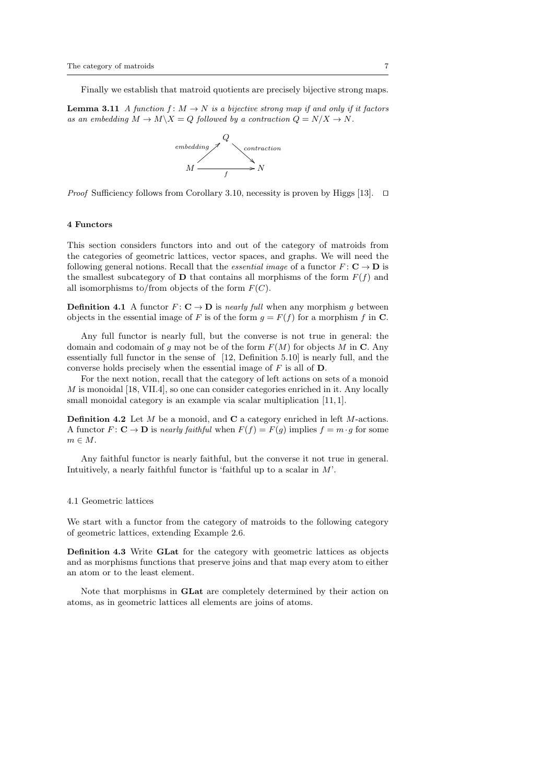Finally we establish that matroid quotients are precisely bijective strong maps.

**Lemma 3.11** A function  $f : M \to N$  is a bijective strong map if and only if it factors as an embedding  $M \to M \backslash X = Q$  followed by a contraction  $Q = N/X \to N$ .



*Proof* Sufficiency follows from Corollary 3.10, necessity is proven by Higgs [13].  $\Box$ 

#### 4 Functors

This section considers functors into and out of the category of matroids from the categories of geometric lattices, vector spaces, and graphs. We will need the following general notions. Recall that the *essential image* of a functor  $F: \mathbf{C} \to \mathbf{D}$  is the smallest subcategory of **D** that contains all morphisms of the form  $F(f)$  and all isomorphisms to/from objects of the form  $F(C)$ .

**Definition 4.1** A functor  $F: \mathbf{C} \to \mathbf{D}$  is nearly full when any morphism g between objects in the essential image of F is of the form  $g = F(f)$  for a morphism f in C.

Any full functor is nearly full, but the converse is not true in general: the domain and codomain of q may not be of the form  $F(M)$  for objects M in C. Any essentially full functor in the sense of [12, Definition 5.10] is nearly full, and the converse holds precisely when the essential image of  $F$  is all of  $D$ .

For the next notion, recall that the category of left actions on sets of a monoid M is monoidal [18, VII.4], so one can consider categories enriched in it. Any locally small monoidal category is an example via scalar multiplication [11,1].

**Definition 4.2** Let  $M$  be a monoid, and  $C$  a category enriched in left  $M$ -actions. A functor  $F: \mathbf{C} \to \mathbf{D}$  is nearly faithful when  $F(f) = F(g)$  implies  $f = m \cdot g$  for some  $m \in M$ .

Any faithful functor is nearly faithful, but the converse it not true in general. Intuitively, a nearly faithful functor is 'faithful up to a scalar in M'.

#### 4.1 Geometric lattices

We start with a functor from the category of matroids to the following category of geometric lattices, extending Example 2.6.

Definition 4.3 Write GLat for the category with geometric lattices as objects and as morphisms functions that preserve joins and that map every atom to either an atom or to the least element.

Note that morphisms in GLat are completely determined by their action on atoms, as in geometric lattices all elements are joins of atoms.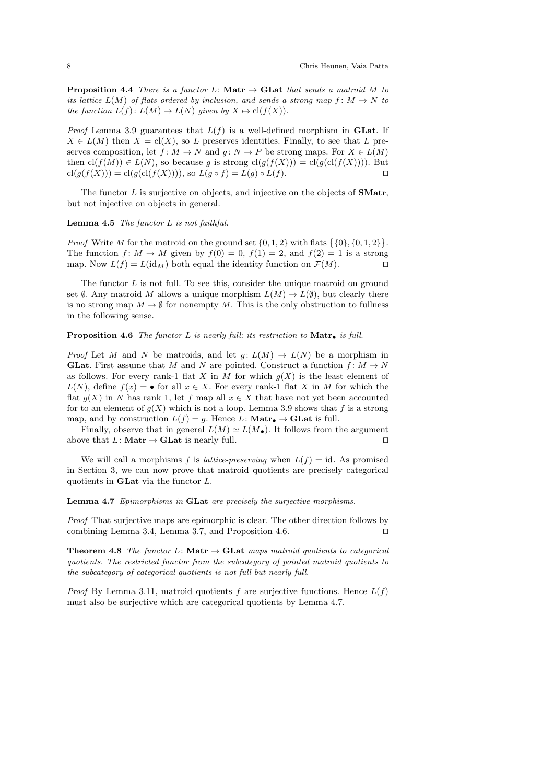**Proposition 4.4** There is a functor L: Matr  $\rightarrow$  GLat that sends a matroid M to its lattice  $L(M)$  of flats ordered by inclusion, and sends a strong map  $f: M \to N$  to the function  $L(f): L(M) \to L(N)$  given by  $X \mapsto cl(f(X)).$ 

*Proof* Lemma 3.9 guarantees that  $L(f)$  is a well-defined morphism in **GLat**. If  $X \in L(M)$  then  $X = cl(X)$ , so L preserves identities. Finally, to see that L preserves composition, let  $f: M \to N$  and  $g: N \to P$  be strong maps. For  $X \in L(M)$ then  $\text{cl}(f(M)) \in L(N)$ , so because g is strong  $\text{cl}(g(f(X))) = \text{cl}(g(\text{cl}(f(X))))$ . But  $\text{cl}(g(f(X))) = \text{cl}(g(\text{cl}(f(X))))$ , so  $L(g \circ f) = L(g) \circ L(f)$ .

The functor  $L$  is surjective on objects, and injective on the objects of **SMatr**, but not injective on objects in general.

### **Lemma 4.5** The functor  $L$  is not faithful.

*Proof* Write M for the matroid on the ground set  $\{0, 1, 2\}$  with flats  $\{\{0\}, \{0, 1, 2\}\}.$ The function  $f: M \to M$  given by  $f(0) = 0$ ,  $f(1) = 2$ , and  $f(2) = 1$  is a strong map. Now  $L(f) = L(\mathrm{id}_M)$  both equal the identity function on  $\mathcal{F}(M)$ .

The functor  $L$  is not full. To see this, consider the unique matroid on ground set Ø. Any matroid M allows a unique morphism  $L(M) \to L(\emptyset)$ , but clearly there is no strong map  $M \to \emptyset$  for nonempty M. This is the only obstruction to fullness in the following sense.

#### **Proposition 4.6** The functor L is nearly full; its restriction to  $\text{Matr}_\bullet$  is full.

*Proof* Let M and N be matroids, and let  $q: L(M) \to L(N)$  be a morphism in **GLat.** First assume that M and N are pointed. Construct a function  $f: M \to N$ as follows. For every rank-1 flat X in M for which  $g(X)$  is the least element of  $L(N)$ , define  $f(x) = \bullet$  for all  $x \in X$ . For every rank-1 flat X in M for which the flat  $g(X)$  in N has rank 1, let f map all  $x \in X$  that have not yet been accounted for to an element of  $g(X)$  which is not a loop. Lemma 3.9 shows that f is a strong map, and by construction  $L(f) = g$ . Hence L: **Matr** $\bullet \to \textbf{GLat}$  is full.

Finally, observe that in general  $L(M) \simeq L(M_{\bullet})$ . It follows from the argument above that  $L:$  **Matr**  $\rightarrow$  **GLat** is nearly full.  $\Box$ 

We will call a morphisms f is *lattice-preserving* when  $L(f) = id$ . As promised in Section 3, we can now prove that matroid quotients are precisely categorical quotients in GLat via the functor L.

Lemma 4.7 Epimorphisms in GLat are precisely the surjective morphisms.

Proof That surjective maps are epimorphic is clear. The other direction follows by combining Lemma 3.4, Lemma 3.7, and Proposition 4.6.  $\Box$ 

**Theorem 4.8** The functor L: **Matr**  $\rightarrow$  **GLat** maps matroid quotients to categorical quotients. The restricted functor from the subcategory of pointed matroid quotients to the subcategory of categorical quotients is not full but nearly full.

*Proof* By Lemma 3.11, matroid quotients f are surjective functions. Hence  $L(f)$ must also be surjective which are categorical quotients by Lemma 4.7.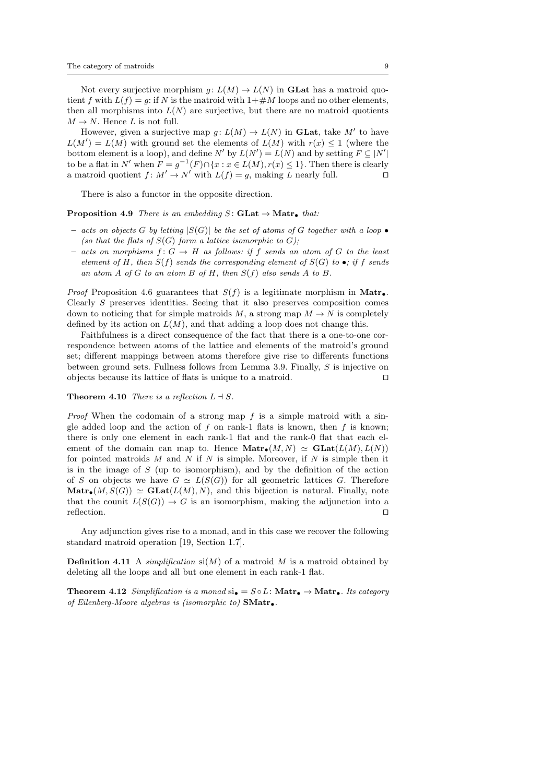Not every surjective morphism  $g: L(M) \to L(N)$  in **GLat** has a matroid quotient f with  $L(f) = g$ : if N is the matroid with  $1 + \#M$  loops and no other elements, then all morphisms into  $L(N)$  are surjective, but there are no matroid quotients  $M \to N$ . Hence L is not full.

However, given a surjective map  $g: L(M) \to L(N)$  in **GLat**, take M' to have  $L(M') = L(M)$  with ground set the elements of  $L(M)$  with  $r(x) \leq 1$  (where the bottom element is a loop), and define  $N'$  by  $L(N') = L(N)$  and by setting  $F \subseteq |N'|$ to be a flat in N' when  $F = g^{-1}(F) \cap \{x : x \in L(M), r(x) \le 1\}$ . Then there is clearly a matroid quotient  $f: M' \to N'$  with  $L(f) = g$ , making L nearly full.

There is also a functor in the opposite direction.

### **Proposition 4.9** There is an embedding  $S:$  **GLat**  $\rightarrow$  **Matr**<sub> $\bullet$ </sub> that:

- acts on objects G by letting  $|S(G)|$  be the set of atoms of G together with a loop  $\bullet$ (so that the flats of  $S(G)$  form a lattice isomorphic to G);
- acts on morphisms  $f: G \to H$  as follows: if f sends an atom of G to the least element of H, then  $S(f)$  sends the corresponding element of  $S(G)$  to  $\bullet$ ; if f sends an atom A of G to an atom B of H, then  $S(f)$  also sends A to B.

*Proof* Proposition 4.6 guarantees that  $S(f)$  is a legitimate morphism in Matr. Clearly S preserves identities. Seeing that it also preserves composition comes down to noticing that for simple matroids M, a strong map  $M \to N$  is completely defined by its action on  $L(M)$ , and that adding a loop does not change this.

Faithfulness is a direct consequence of the fact that there is a one-to-one correspondence between atoms of the lattice and elements of the matroid's ground set; different mappings between atoms therefore give rise to differents functions between ground sets. Fullness follows from Lemma 3.9. Finally, S is injective on objects because its lattice of flats is unique to a matroid.  $\Box$ 

### **Theorem 4.10** There is a reflection  $L \dashv S$ .

*Proof* When the codomain of a strong map  $f$  is a simple matroid with a single added loop and the action of f on rank-1 flats is known, then f is known; there is only one element in each rank-1 flat and the rank-0 flat that each element of the domain can map to. Hence  $\text{Matr}_{\bullet}(M, N) \simeq \text{GLat}(L(M), L(N))$ for pointed matroids  $M$  and  $N$  if  $N$  is simple. Moreover, if  $N$  is simple then it is in the image of S (up to isomorphism), and by the definition of the action of S on objects we have  $G \simeq L(S(G))$  for all geometric lattices G. Therefore  $\text{Matr}_{\bullet}(M, S(G)) \simeq \text{GLat}(L(M), N),$  and this bijection is natural. Finally, note that the counit  $L(S(G)) \to G$  is an isomorphism, making the adjunction into a reflection.  $\Box$ 

Any adjunction gives rise to a monad, and in this case we recover the following standard matroid operation [19, Section 1.7].

**Definition 4.11** A *simplification*  $si(M)$  of a matroid M is a matroid obtained by deleting all the loops and all but one element in each rank-1 flat.

Theorem 4.12 Simplification is a monad  $\mathbf{s_i} = S \circ L$ : Matr<sub> $\bullet$ </sub>  $\rightarrow$  Matr<sub> $\bullet$ </sub>. Its category of Eilenberg-Moore algebras is (isomorphic to)  $\mathbf{SMatr}_{\bullet}$ .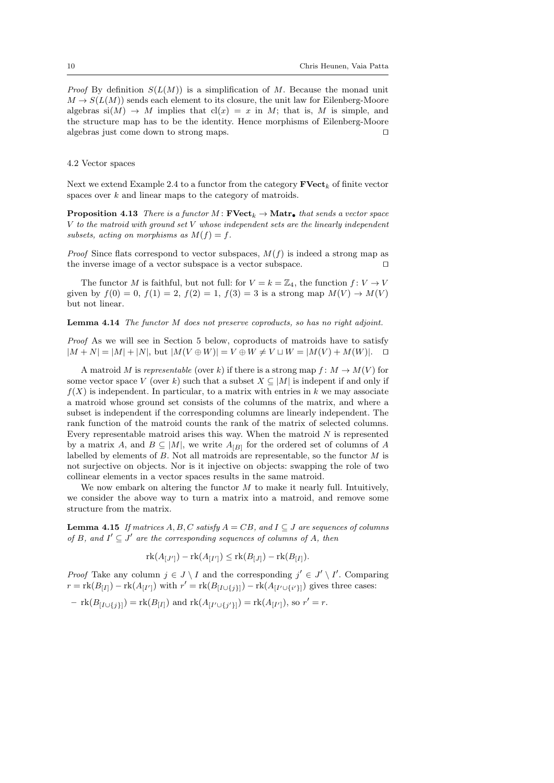*Proof* By definition  $S(L(M))$  is a simplification of M. Because the monad unit  $M \to S(L(M))$  sends each element to its closure, the unit law for Eilenberg-Moore algebras  $si(M) \rightarrow M$  implies that  $cl(x) = x$  in M; that is, M is simple, and the structure map has to be the identity. Hence morphisms of Eilenberg-Moore algebras just come down to strong maps.  $\Box$ 

### 4.2 Vector spaces

Next we extend Example 2.4 to a functor from the category  $\mathbf{FVect}_k$  of finite vector spaces over k and linear maps to the category of matroids.

**Proposition 4.13** There is a functor M:  $\textbf{FVect}_k \to \textbf{Matr}_{\bullet}$  that sends a vector space V to the matroid with ground set V whose independent sets are the linearly independent subsets, acting on morphisms as  $M(f) = f$ .

*Proof* Since flats correspond to vector subspaces,  $M(f)$  is indeed a strong map as the inverse image of a vector subspace is a vector subspace.  $\Box$ 

The functor M is faithful, but not full: for  $V = k = \mathbb{Z}_4$ , the function  $f: V \to V$ given by  $f(0) = 0$ ,  $f(1) = 2$ ,  $f(2) = 1$ ,  $f(3) = 3$  is a strong map  $M(V) \to M(V)$ but not linear.

#### Lemma 4.14 The functor M does not preserve coproducts, so has no right adjoint.

Proof As we will see in Section 5 below, coproducts of matroids have to satisfy  $|M + N| = |M| + |N|$ , but  $|M(V \oplus W)| = V \oplus W \neq V \sqcup W = |M(V) + M(W)|$ .  $\Box$ 

A matroid M is representable (over k) if there is a strong map  $f: M \to M(V)$  for some vector space V (over k) such that a subset  $X \subseteq |M|$  is indepent if and only if  $f(X)$  is independent. In particular, to a matrix with entries in k we may associate a matroid whose ground set consists of the columns of the matrix, and where a subset is independent if the corresponding columns are linearly independent. The rank function of the matroid counts the rank of the matrix of selected columns. Every representable matroid arises this way. When the matroid  $N$  is represented by a matrix A, and  $B \subseteq |M|$ , we write  $A_{[B]}$  for the ordered set of columns of A labelled by elements of  $B$ . Not all matroids are representable, so the functor  $M$  is not surjective on objects. Nor is it injective on objects: swapping the role of two collinear elements in a vector spaces results in the same matroid.

We now embark on altering the functor  $M$  to make it nearly full. Intuitively, we consider the above way to turn a matrix into a matroid, and remove some structure from the matrix.

**Lemma 4.15** If matrices A, B, C satisfy  $A = CB$ , and  $I \subseteq J$  are sequences of columns of B, and  $I' \subseteq J'$  are the corresponding sequences of columns of A, then

$$
rk(A_{[J']}) - rk(A_{[I']}) \leq rk(B_{[J]}) - rk(B_{[I]}).
$$

*Proof* Take any column  $j \in J \setminus I$  and the corresponding  $j' \in J' \setminus I'$ . Comparing  $r = \text{rk}(B_{[I]}) - \text{rk}(A_{[I']})$  with  $r' = \text{rk}(B_{[I \cup \{j\}]}) - \text{rk}(A_{[I' \cup \{i'\}]})$  gives three cases:

 $-$  rk $(B_{[I \cup \{j\}]})=$ rk $(B_{[I]})$  and rk $(A_{[I' \cup \{j'\}]})=$ rk $(A_{[I']})$ , so  $r'=r$ .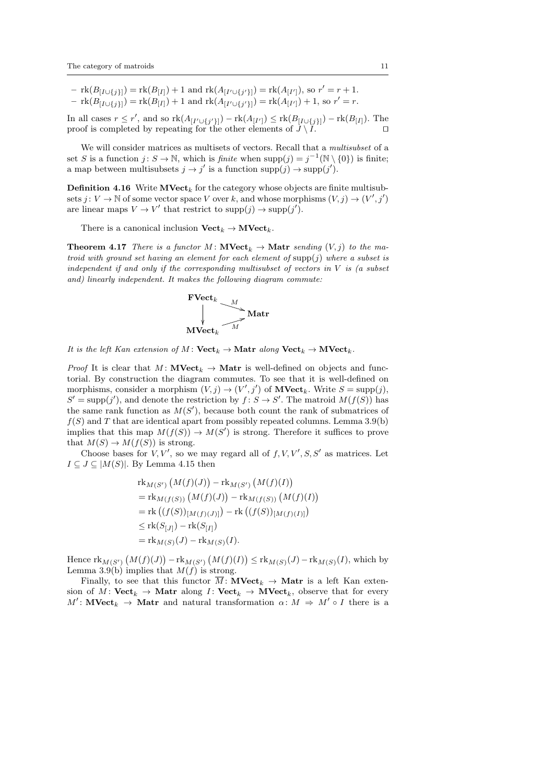$- \operatorname{rk}(B_{[I \cup \{j\}]} ) = \operatorname{rk}(B_{[I]}) + 1$  and  $\operatorname{rk}(A_{[I' \cup \{j'\}]} ) = \operatorname{rk}(A_{[I']})$ , so  $r' = r + 1$ .  $-\text{rk}(B_{[I\cup\{j\}]})=\text{rk}(B_{[I]})+1$  and  $\text{rk}(A_{[I'\cup\{j'\}]})=\text{rk}(A_{[I']})+1$ , so  $r'=r$ .

In all cases  $r \leq r'$ , and so  $\text{rk}(A_{[I' \cup \{j'\}]}) - \text{rk}(A_{[I']}) \leq \text{rk}(B_{[I \cup \{j\}]}) - \text{rk}(B_{[I]})$ . The proof is completed by repeating for the other elements of  $\ddot{J} \setminus \ddot{I}$ .

We will consider matrices as multisets of vectors. Recall that a multisubset of a set S is a function  $j: S \to \mathbb{N}$ , which is finite when  $\text{supp}(j) = j^{-1}(\mathbb{N} \setminus \{0\})$  is finite; a map between multisubsets  $j \to j'$  is a function  $\text{supp}(j) \to \text{supp}(j')$ .

**Definition 4.16** Write  $\mathbf{MVect}_k$  for the category whose objects are finite multisubsets  $j: V \to \mathbb{N}$  of some vector space V over k, and whose morphisms  $(V, j) \to (V', j')$ are linear maps  $V \to V'$  that restrict to  $\text{supp}(j) \to \text{supp}(j').$ 

There is a canonical inclusion  $\mathbf{Vect}_k \to \mathbf{MVect}_k$ .

**Theorem 4.17** There is a functor M:  $\mathbf{NVect}_k \to \mathbf{Matr}$  sending  $(V, j)$  to the matroid with ground set having an element for each element of  $\text{supp}(j)$  where a subset is independent if and only if the corresponding multisubset of vectors in  $V$  is (a subset and) linearly independent. It makes the following diagram commute:

$$
\begin{array}{c}\n\textbf{FVect}_k \\
\downarrow \\
\textbf{MVect}_k\n\end{array}\n\longrightarrow \textbf{Matr}
$$

It is the left Kan extension of M:  $Vect_k \to$  Matr along  $Vect_k \to$  MVect<sub>k</sub>.

*Proof* It is clear that  $M: \textbf{MVect}_k \to \textbf{Matr}$  is well-defined on objects and functorial. By construction the diagram commutes. To see that it is well-defined on morphisms, consider a morphism  $(V, j) \rightarrow (V', j')$  of  $\mathbf{MVect}_k$ . Write  $S = \text{supp}(j)$ ,  $S' = \text{supp}(j')$ , and denote the restriction by  $f: S \to S'$ . The matroid  $M(f(S))$  has the same rank function as  $M(S')$ , because both count the rank of submatrices of  $f(S)$  and T that are identical apart from possibly repeated columns. Lemma 3.9(b) implies that this map  $M(f(S)) \to M(S')$  is strong. Therefore it suffices to prove that  $M(S) \to M(f(S))$  is strong.

Choose bases for V, V', so we may regard all of  $f, V, V', S, S'$  as matrices. Let  $I \subseteq J \subseteq |M(S)|$ . By Lemma 4.15 then

$$
\begin{aligned} &\text{rk}_{M(S')} \left( M(f)(J) \right) - \text{rk}_{M(S')} \left( M(f)(I) \right) \\ &= \text{rk}_{M(f(S))} \left( M(f)(J) \right) - \text{rk}_{M(f(S))} \left( M(f)(I) \right) \\ &= \text{rk} \left( (f(S))_{\lfloor M(f)(J) \rfloor} \right) - \text{rk} \left( (f(S))_{\lfloor M(f)(I) \rfloor} \right) \\ &\leq \text{rk}(S_{\lfloor J \rfloor} - \text{rk}(S_{\lfloor I \rfloor}) \\ &= \text{rk}_{M(S)}(J) - \text{rk}_{M(S)}(I). \end{aligned}
$$

Hence  $\text{rk}_{M(S')}(M(f)(J)) - \text{rk}_{M(S')}(M(f)(I)) \leq \text{rk}_{M(S)}(J) - \text{rk}_{M(S)}(I)$ , which by Lemma 3.9(b) implies that  $M(f)$  is strong.

Finally, to see that this functor  $\overline{M}$ : **MVect**<sub>k</sub>  $\rightarrow$  **Matr** is a left Kan extension of M: Vect<sub>k</sub>  $\rightarrow$  Matr along I: Vect<sub>k</sub>  $\rightarrow$  MVect<sub>k</sub>, observe that for every  $M'$ : **MVect**<sub>k</sub>  $\rightarrow$  **Matr** and natural transformation  $\alpha$ :  $M \Rightarrow M' \circ I$  there is a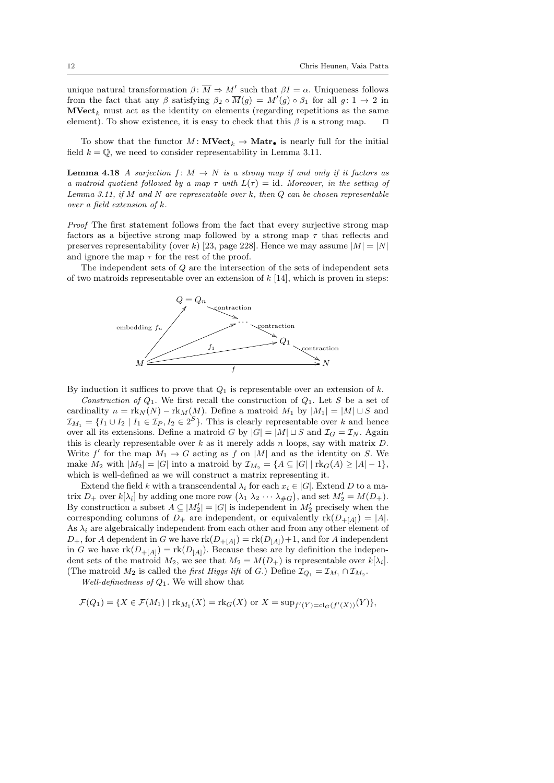unique natural transformation  $\beta \colon \overline{M} \Rightarrow M'$  such that  $\beta I = \alpha$ . Uniqueness follows from the fact that any  $\beta$  satisfying  $\beta_2 \circ \overline{M}(g) = M'(g) \circ \beta_1$  for all  $g: 1 \to 2$  in  $\mathbf{MVect}_k$  must act as the identity on elements (regarding repetitions as the same element). To show existence, it is easy to check that this  $\beta$  is a strong map.  $\square$ 

To show that the functor  $M: \textbf{MVect}_k \to \textbf{Matr}_{\bullet}$  is nearly full for the initial field  $k = \mathbb{Q}$ , we need to consider representability in Lemma 3.11.

**Lemma 4.18** A surjection  $f: M \to N$  is a strong map if and only if it factors as a matroid quotient followed by a map  $\tau$  with  $L(\tau) = id$ . Moreover, in the setting of Lemma 3.11, if M and N are representable over k, then  $Q$  can be chosen representable over a field extension of k.

Proof The first statement follows from the fact that every surjective strong map factors as a bijective strong map followed by a strong map  $\tau$  that reflects and preserves representability (over k) [23, page 228]. Hence we may assume  $|M| = |N|$ and ignore the map  $\tau$  for the rest of the proof.

The independent sets of Q are the intersection of the sets of independent sets of two matroids representable over an extension of  $k$  [14], which is proven in steps:



By induction it suffices to prove that  $Q_1$  is representable over an extension of k.

Construction of  $Q_1$ . We first recall the construction of  $Q_1$ . Let S be a set of cardinality  $n = \text{rk}_N(N) - \text{rk}_M(M)$ . Define a matroid  $M_1$  by  $|M_1| = |M| \sqcup S$  and  $\mathcal{I}_{M_1} = \{I_1 \cup I_2 \mid I_1 \in \mathcal{I}_P, I_2 \in 2^S\}$ . This is clearly representable over k and hence over all its extensions. Define a matroid G by  $|G| = |M| \sqcup S$  and  $\mathcal{I}_G = \mathcal{I}_N$ . Again this is clearly representable over  $k$  as it merely adds n loops, say with matrix  $D$ . Write f' for the map  $M_1 \to G$  acting as f on |M| and as the identity on S. We make  $M_2$  with  $|M_2| = |G|$  into a matroid by  $\mathcal{I}_{M_2} = \{A \subseteq |G| \mid \text{rk}_G(A) \geq |A| - 1\},$ which is well-defined as we will construct a matrix representing it.

Extend the field k with a transcendental  $\lambda_i$  for each  $x_i \in |G|$ . Extend D to a matrix  $D_+$  over  $k[\lambda_i]$  by adding one more row  $(\lambda_1 \lambda_2 \cdots \lambda_{\#G})$ , and set  $M'_2 = M(D_+)$ . By construction a subset  $A \subseteq |M_2'| = |G|$  is independent in  $M_2'$  precisely when the corresponding columns of  $D_+$  are independent, or equivalently  $rk(D_{+}[A]) = |A|$ . As  $\lambda_i$  are algebraically independent from each other and from any other element of  $D_+$ , for A dependent in G we have  $rk(D_{+}[A]) = rk(D_{[A]})+1$ , and for A independent in G we have  $\text{rk}(D_{+}[A]) = \text{rk}(D_{[A]})$ . Because these are by definition the independent sets of the matroid  $M_2$ , we see that  $M_2 = M(D_+)$  is representable over  $k[\lambda_i]$ . (The matroid  $M_2$  is called the *first Higgs lift* of G.) Define  $\mathcal{I}_{Q_1} = \mathcal{I}_{M_1} \cap \mathcal{I}_{M_2}$ .

Well-definedness of  $Q_1$ . We will show that

$$
\mathcal{F}(Q_1) = \{ X \in \mathcal{F}(M_1) \mid \text{rk}_{M_1}(X) = \text{rk}_G(X) \text{ or } X = \sup_{f'(Y) = \text{cl}_G(f'(X))}(Y) \},
$$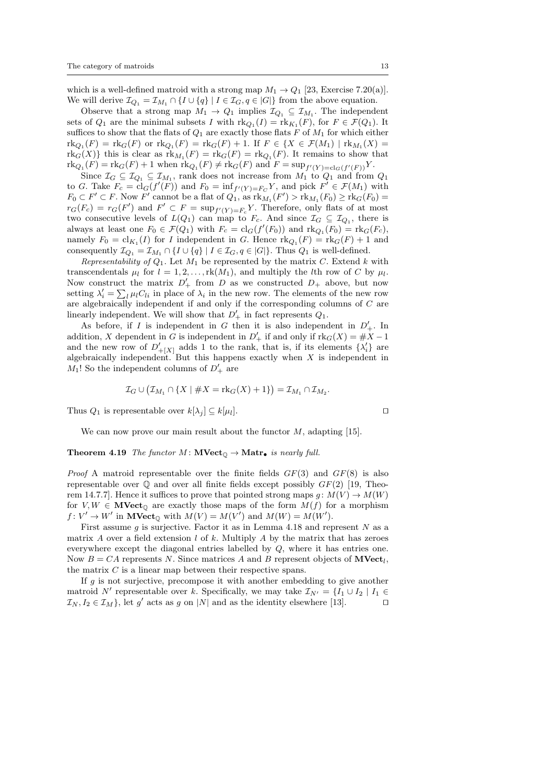which is a well-defined matroid with a strong map  $M_1 \rightarrow Q_1$  [23, Exercise 7.20(a)]. We will derive  $\mathcal{I}_{Q_1} = \mathcal{I}_{M_1} \cap \{I \cup \{q\} \mid I \in \mathcal{I}_G, q \in |G|\}$  from the above equation.

Observe that a strong map  $M_1 \to Q_1$  implies  $\mathcal{I}_{Q_1} \subseteq \mathcal{I}_{M_1}$ . The independent sets of  $Q_1$  are the minimal subsets I with  $\text{rk}_{Q_1}(I) = \text{rk}_{K_1}(F)$ , for  $F \in \mathcal{F}(Q_1)$ . It suffices to show that the flats of  $Q_1$  are exactly those flats F of  $M_1$  for which either  ${\rm rk}_{Q_1}(F) = {\rm rk}_G(F)$  or  ${\rm rk}_{Q_1}(F) = {\rm rk}_G(F) + 1$ . If  $F \in \{X \in \mathcal{F}(M_1) \mid {\rm rk}_{M_1}(X) = 1\}$  $\text{rk}_G(X)$  this is clear as  $\text{rk}_{M_1}(F) = \text{rk}_G(F) = \text{rk}_{Q_1}(F)$ . It remains to show that  $\text{rk}_{Q_1}(F) = \text{rk}_G(F) + 1$  when  $\text{rk}_{Q_1}(F) \neq \text{rk}_G(F)$  and  $F = \text{sup}_{f'(Y) = \text{cl}_G(f'(F))} Y$ .

Since  $\mathcal{I}_G \subseteq \mathcal{I}_{Q_1} \subseteq \mathcal{I}_{M_1}$ , rank does not increase from  $M_1$  to  $Q_1$  and from  $Q_1$ to G. Take  $F_c = \text{cl}_G(f'(F))$  and  $F_0 = \inf_{f'(Y)=F_C} Y$ , and pick  $F' \in \mathcal{F}(M_1)$  with  $F_0 \subset F' \subset F$ . Now  $F'$  cannot be a flat of  $Q_1$ , as  $\operatorname{rk}_{M_1}(F') > \operatorname{rk}_{M_1}(F_0) \ge \operatorname{rk}_G(F_0) =$  $r_G(F_c) = r_G(F')$  and  $F' \subset F = \sup_{f'(Y)=F_c} Y$ . Therefore, only flats of at most two consecutive levels of  $L(Q_1)$  can map to  $F_c$ . And since  $\mathcal{I}_G \subseteq \mathcal{I}_{Q_1}$ , there is always at least one  $F_0 \in \mathcal{F}(Q_1)$  with  $F_c = \text{cl}_G(f'(F_0))$  and  $\text{rk}_{Q_1}(F_0) = \text{rk}_G(F_c)$ , namely  $F_0 = \text{cl}_{K_1}(I)$  for I independent in G. Hence  $\text{rk}_{Q_1}(F) = \text{rk}_G(F) + 1$  and consequently  $\mathcal{I}_{Q_1} = \mathcal{I}_{M_1} \cap \{I \cup \{q\} \mid I \in \mathcal{I}_G, q \in |G|\}.$  Thus  $Q_1$  is well-defined.

Representability of  $Q_1$ . Let  $M_1$  be represented by the matrix C. Extend k with transcendentals  $\mu_l$  for  $l = 1, 2, ..., \text{rk}(M_1)$ , and multiply the *l*th row of *C* by  $\mu_l$ . Now construct the matrix  $D'_{+}$  from D as we constructed  $D_{+}$  above, but now setting  $\lambda'_i = \sum_l \mu_l C_{li}$  in place of  $\lambda_i$  in the new row. The elements of the new row are algebraically independent if and only if the corresponding columns of C are linearly independent. We will show that  $D'_{+}$  in fact represents  $Q_1$ .

As before, if I is independent in G then it is also independent in  $D'_{+}$ . In addition, X dependent in G is independent in  $D'_{+}$  if and only if  $\text{rk}_G(X) = \#X - 1$ and the new row of  $D'_{+[X]}$  adds 1 to the rank, that is, if its elements  $\{\lambda'_i\}$  are algebraically independent. But this happens exactly when  $X$  is independent in  $M_1!$  So the independent columns of  $D'_+$  are

$$
\mathcal{I}_G \cup (\mathcal{I}_{M_1} \cap \{X \mid \#X = \mathrm{rk}_G(X) + 1\}) = \mathcal{I}_{M_1} \cap \mathcal{I}_{M_2}.
$$

Thus  $Q_1$  is representable over  $k[\lambda_i] \subseteq k[\mu_l]$ .  $\Box$ 

We can now prove our main result about the functor  $M$ , adapting [15].

#### **Theorem 4.19** The functor  $M: \textbf{MVect}_{\mathbb{Q}} \to \textbf{Matr}_{\bullet}$  is nearly full.

*Proof* A matroid representable over the finite fields  $GF(3)$  and  $GF(8)$  is also representable over  $\mathbb Q$  and over all finite fields except possibly  $GF(2)$  [19, Theorem 14.7.7. Hence it suffices to prove that pointed strong maps  $g: M(V) \to M(W)$ for  $V, W \in \mathbf{MVect}_{\mathbb{O}}$  are exactly those maps of the form  $M(f)$  for a morphism  $f: V' \to W'$  in  $\mathbf{MVect}_{\mathbb{O}}$  with  $M(V) = M(V')$  and  $M(W) = M(W')$ .

First assume q is surjective. Factor it as in Lemma 4.18 and represent  $N$  as a matrix  $A$  over a field extension  $l$  of  $k$ . Multiply  $A$  by the matrix that has zeroes everywhere except the diagonal entries labelled by Q, where it has entries one. Now  $B = CA$  represents N. Since matrices A and B represent objects of  $\textbf{MVect}_l$ , the matrix  $C$  is a linear map between their respective spans.

If  $q$  is not surjective, precompose it with another embedding to give another matroid N' representable over k. Specifically, we may take  $\mathcal{I}_{N'} = \{I_1 \cup I_2 \mid I_1 \in$  $\mathcal{I}_N, I_2 \in \mathcal{I}_M$ , let g' acts as g on |N| and as the identity elsewhere [13].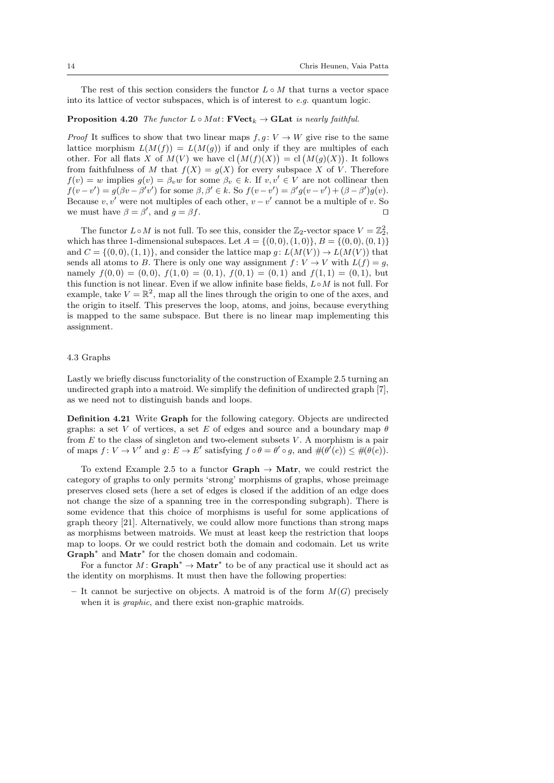The rest of this section considers the functor  $L \circ M$  that turns a vector space into its lattice of vector subspaces, which is of interest to e.g. quantum logic.

## **Proposition 4.20** The functor  $L \circ Mat$ :  $\mathbf{FVect}_k \to \mathbf{GLat}$  is nearly faithful.

*Proof* It suffices to show that two linear maps  $f, g: V \to W$  give rise to the same lattice morphism  $L(M(f)) = L(M(g))$  if and only if they are multiples of each other. For all flats X of  $M(V)$  we have  $\text{cl}(M(f)(X)) = \text{cl}(M(g)(X)).$  It follows from faithfulness of M that  $f(X) = g(X)$  for every subspace X of V. Therefore  $f(v) = w$  implies  $g(v) = \beta_v w$  for some  $\beta_v \in k$ . If  $v, v' \in V$  are not collinear then  $f(v-v') = g(\beta v - \beta' v')$  for some  $\beta, \beta' \in k$ . So  $f(v-v') = \beta' g(v-v') + (\beta - \beta')g(v)$ . Because  $v, v'$  were not multiples of each other,  $v - v'$  cannot be a multiple of v. So we must have  $\beta = \beta'$ , and  $g = \beta f$ .

The functor  $L \circ M$  is not full. To see this, consider the  $\mathbb{Z}_2$ -vector space  $V = \mathbb{Z}_2^2$ , which has three 1-dimensional subspaces. Let  $A = \{(0, 0), (1, 0)\}, B = \{(0, 0), (0, 1)\}\$ and  $C = \{(0,0), (1,1)\}\$ , and consider the lattice map  $g: L(M(V)) \to L(M(V))$  that sends all atoms to B. There is only one way assignment  $f: V \to V$  with  $L(f) = g$ , namely  $f(0,0) = (0,0), f(1,0) = (0,1), f(0,1) = (0,1)$  and  $f(1,1) = (0,1)$ , but this function is not linear. Even if we allow infinite base fields,  $L \circ M$  is not full. For example, take  $V = \mathbb{R}^2$ , map all the lines through the origin to one of the axes, and the origin to itself. This preserves the loop, atoms, and joins, because everything is mapped to the same subspace. But there is no linear map implementing this assignment.

#### 4.3 Graphs

Lastly we briefly discuss functoriality of the construction of Example 2.5 turning an undirected graph into a matroid. We simplify the definition of undirected graph [7], as we need not to distinguish bands and loops.

Definition 4.21 Write Graph for the following category. Objects are undirected graphs: a set V of vertices, a set E of edges and source and a boundary map  $\theta$ from  $E$  to the class of singleton and two-element subsets  $V$ . A morphism is a pair of maps  $f: V \to V'$  and  $g: E \to E'$  satisfying  $f \circ \theta = \theta' \circ g$ , and  $\#(\theta'(e)) \leq \#(\theta(e))$ .

To extend Example 2.5 to a functor Graph  $\rightarrow$  Matr, we could restrict the category of graphs to only permits 'strong' morphisms of graphs, whose preimage preserves closed sets (here a set of edges is closed if the addition of an edge does not change the size of a spanning tree in the corresponding subgraph). There is some evidence that this choice of morphisms is useful for some applications of graph theory [21]. Alternatively, we could allow more functions than strong maps as morphisms between matroids. We must at least keep the restriction that loops map to loops. Or we could restrict both the domain and codomain. Let us write Graph<sup>∗</sup> and Matr<sup>\*</sup> for the chosen domain and codomain.

For a functor  $M: \mathbf{Graph}^* \to \mathbf{Matrix}^*$  to be of any practical use it should act as the identity on morphisms. It must then have the following properties:

– It cannot be surjective on objects. A matroid is of the form  $M(G)$  precisely when it is *graphic*, and there exist non-graphic matroids.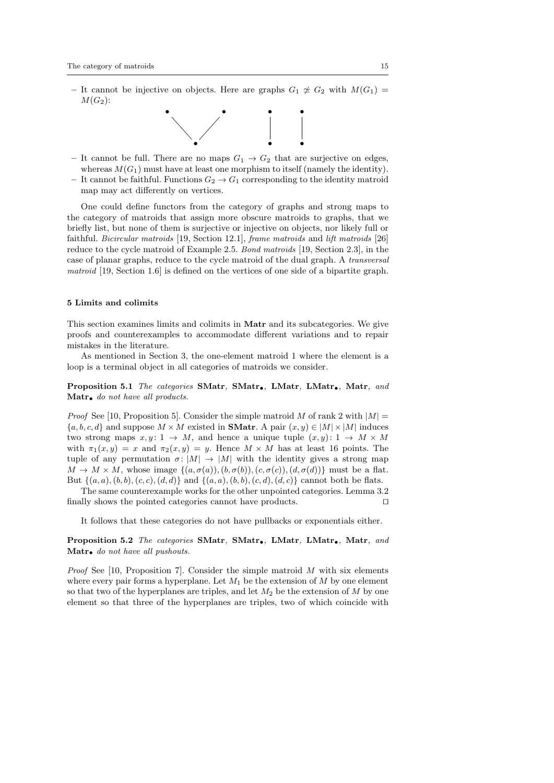– It cannot be injective on objects. Here are graphs  $G_1 \not\cong G_2$  with  $M(G_1)$  =  $M(G_2)$ :



– It cannot be full. There are no maps  $G_1 \rightarrow G_2$  that are surjective on edges, whereas  $M(G_1)$  must have at least one morphism to itself (namely the identity). – It cannot be faithful. Functions  $G_2 \rightarrow G_1$  corresponding to the identity matroid map may act differently on vertices.

One could define functors from the category of graphs and strong maps to the category of matroids that assign more obscure matroids to graphs, that we briefly list, but none of them is surjective or injective on objects, nor likely full or faithful. Bicircular matroids [19, Section 12.1], frame matroids and lift matroids [26] reduce to the cycle matroid of Example 2.5. Bond matroids [19, Section 2.3], in the case of planar graphs, reduce to the cycle matroid of the dual graph. A transversal matroid [19, Section 1.6] is defined on the vertices of one side of a bipartite graph.

#### 5 Limits and colimits

This section examines limits and colimits in Matr and its subcategories. We give proofs and counterexamples to accommodate different variations and to repair mistakes in the literature.

As mentioned in Section 3, the one-element matroid 1 where the element is a loop is a terminal object in all categories of matroids we consider.

Proposition 5.1 The categories SMatr, SMatr., LMatr, LMatr., Matr, and Matr. do not have all products.

*Proof* See [10, Proposition 5]. Consider the simple matroid M of rank 2 with  $|M|$  =  ${a, b, c, d}$  and suppose  $M \times M$  existed in **SMatr**. A pair  $(x, y) \in |M| \times |M|$  induces two strong maps  $x, y: 1 \rightarrow M$ , and hence a unique tuple  $(x, y): 1 \rightarrow M \times M$ with  $\pi_1(x, y) = x$  and  $\pi_2(x, y) = y$ . Hence  $M \times M$  has at least 16 points. The tuple of any permutation  $\sigma: |M| \to |M|$  with the identity gives a strong map  $M \to M \times M$ , whose image  $\{(a, \sigma(a)), (b, \sigma(b)), (c, \sigma(c)), (d, \sigma(d))\}$  must be a flat. But  $\{(a, a), (b, b), (c, c), (d, d)\}\$ and  $\{(a, a), (b, b), (c, d), (d, c)\}\$ cannot both be flats.

The same counterexample works for the other unpointed categories. Lemma 3.2 finally shows the pointed categories cannot have products.  $\Box$ 

It follows that these categories do not have pullbacks or exponentials either.

## Proposition 5.2 The categories SMatr, SMatr., LMatr, LMatr., Matr, and Matr. do not have all pushouts.

*Proof* See [10, Proposition 7]. Consider the simple matroid  $M$  with six elements where every pair forms a hyperplane. Let  $M_1$  be the extension of M by one element so that two of the hyperplanes are triples, and let  $M_2$  be the extension of M by one element so that three of the hyperplanes are triples, two of which coincide with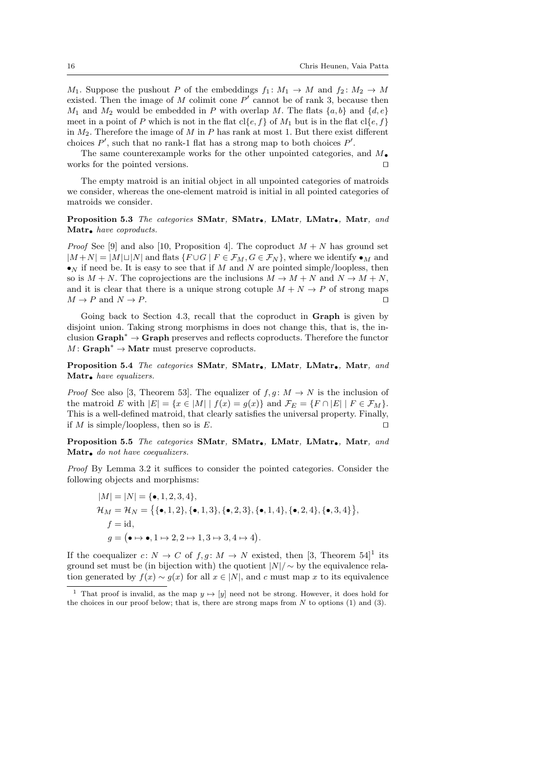$M_1$ . Suppose the pushout P of the embeddings  $f_1: M_1 \to M$  and  $f_2: M_2 \to M$ existed. Then the image of M colimit cone  $P'$  cannot be of rank 3, because then  $M_1$  and  $M_2$  would be embedded in P with overlap M. The flats  $\{a, b\}$  and  $\{d, e\}$ meet in a point of P which is not in the flat  $c \leq c \leq f$  of  $M_1$  but is in the flat  $c \leq c \leq f$ in  $M_2$ . Therefore the image of M in P has rank at most 1. But there exist different choices  $P'$ , such that no rank-1 flat has a strong map to both choices  $P'$ .

The same counterexample works for the other unpointed categories, and  $M_{\bullet}$ works for the pointed versions.  $\Box$ 

The empty matroid is an initial object in all unpointed categories of matroids we consider, whereas the one-element matroid is initial in all pointed categories of matroids we consider.

Proposition 5.3 The categories SMatr, SMatr., LMatr, LMatr., Matr, and Matr. have coproducts.

*Proof* See [9] and also [10, Proposition 4]. The coproduct  $M + N$  has ground set  $|M+N| = |M|\sqcup|N|$  and flats  $\{F\cup G \mid F \in \mathcal{F}_M, G \in \mathcal{F}_N\}$ , where we identify  $\bullet_M$  and  $\bullet_N$  if need be. It is easy to see that if M and N are pointed simple/loopless, then so is  $M + N$ . The coprojections are the inclusions  $M \to M + N$  and  $N \to M + N$ , and it is clear that there is a unique strong cotuple  $M + N \rightarrow P$  of strong maps  $M \to P$  and  $N \to P$ .

Going back to Section 4.3, recall that the coproduct in Graph is given by disjoint union. Taking strong morphisms in does not change this, that is, the inclusion Graph<sup>∗</sup> → Graph preserves and reflects coproducts. Therefore the functor  $M: \mathbf{Graph}^* \to \mathbf{Matrix}$  must preserve coproducts.

Proposition 5.4 The categories SMatr, SMatr., LMatr, LMatr., Matr, and Matr. have equalizers.

*Proof* See also [3, Theorem 53]. The equalizer of  $f, g: M \to N$  is the inclusion of the matroid E with  $|E| = \{x \in |M| \mid f(x) = g(x)\}\$ and  $\mathcal{F}_E = \{F \cap |E| \mid F \in \mathcal{F}_M\}.$ This is a well-defined matroid, that clearly satisfies the universal property. Finally, if M is simple/loopless, then so is E.

Proposition 5.5 The categories SMatr, SMatr, LMatr, LMatr, Matr, and Matr<sub>•</sub> do not have coequalizers.

Proof By Lemma 3.2 it suffices to consider the pointed categories. Consider the following objects and morphisms:

$$
|M| = |N| = {\bullet, 1, 2, 3, 4},
$$
  
\n
$$
\mathcal{H}_M = \mathcal{H}_N = \{ {\bullet, 1, 2}, {\bullet, 1, 3}, {\bullet, 2, 3}, {\bullet, 1, 4}, {\bullet, 2, 4}, {\bullet, 3, 4} \},
$$
  
\n
$$
f = id,
$$
  
\n
$$
g = (\bullet \mapsto \bullet, 1 \mapsto 2, 2 \mapsto 1, 3 \mapsto 3, 4 \mapsto 4).
$$

If the coequalizer  $c: N \to C$  of  $f, g: M \to N$  existed, then [3, Theorem 54]<sup>1</sup> its ground set must be (in bijection with) the quotient  $|N|/\sim$  by the equivalence relation generated by  $f(x) \sim g(x)$  for all  $x \in |N|$ , and c must map x to its equivalence

<sup>&</sup>lt;sup>1</sup> That proof is invalid, as the map  $y \mapsto [y]$  need not be strong. However, it does hold for the choices in our proof below; that is, there are strong maps from  $N$  to options (1) and (3).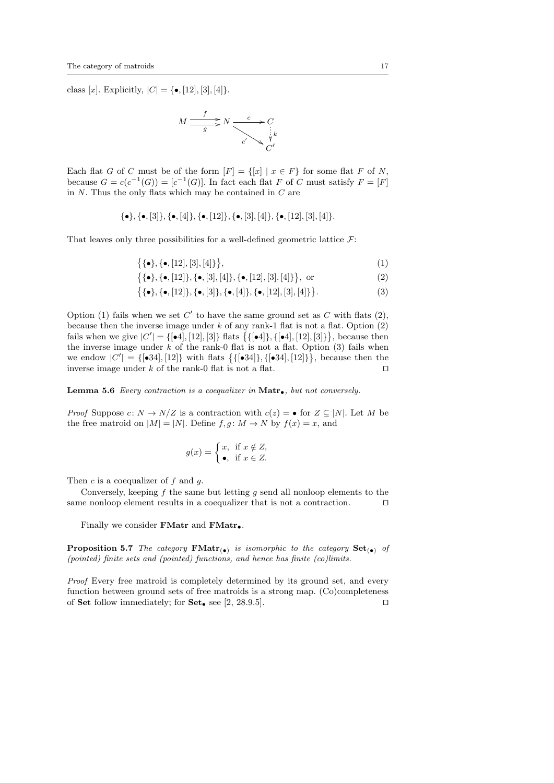class [x]. Explicitly,  $|C| = \{ \bullet, [12], [3], [4] \}.$ 

$$
M \xrightarrow{f} N \xrightarrow{c} C
$$

$$
C'
$$

$$
C'
$$

$$
C'
$$

$$
C'
$$

Each flat G of C must be of the form  $[F] = \{ [x] | x \in F \}$  for some flat F of N, because  $G = c(c^{-1}(G)) = [c^{-1}(G)]$ . In fact each flat F of C must satisfy  $F = [F]$ in N. Thus the only flats which may be contained in C are

$$
\{\bullet\}, \{\bullet,[3]\}, \{\bullet,[4]\}, \{\bullet,[12]\}, \{\bullet,[3],[4]\}, \{\bullet,[12],[3],[4]\}.
$$

That leaves only three possibilities for a well-defined geometric lattice  $\mathcal{F}$ :

$$
\{ \{\bullet\}, \{\bullet, [12], [3], [4] \} \},\tag{1}
$$

$$
\{ \{\bullet\}, \{\bullet, [12]\}, \{\bullet, [3], [4]\}, \{\bullet, [12], [3], [4]\} \}, \text{ or } (2)
$$

$$
\{ \{\bullet\}, \{\bullet, [12]\}, \{\bullet, [3]\}, \{\bullet, [4]\}, \{\bullet, [12], [3], [4]\} \}.
$$
 (3)

Option (1) fails when we set  $C'$  to have the same ground set as  $C$  with flats (2), because then the inverse image under  $k$  of any rank-1 flat is not a flat. Option  $(2)$ fails when we give  $|C'| = \{ [\bullet 4], [12], [3] \}$  flats  $\{ [\bullet 4], [\bullet 4], [12], [3] \}$ , because then the inverse image under  $k$  of the rank-0 flat is not a flat. Option  $(3)$  fails when we endow  $|C'| = \{ [\bullet 34], [12] \}$  with flats  $\{ [\bullet 34], [\bullet 34], [12] \},$  because then the inverse image under k of the rank-0 flat is not a flat.  $\square$ 

Lemma 5.6 Every contraction is a coequalizer in  $\text{Matr}_{\bullet}$ , but not conversely.

*Proof* Suppose  $c: N \to N/Z$  is a contraction with  $c(z) = \bullet$  for  $Z \subseteq |N|$ . Let M be the free matroid on  $|M| = |N|$ . Define  $f, g: M \to N$  by  $f(x) = x$ , and

$$
g(x) = \begin{cases} x, & \text{if } x \notin Z, \\ \bullet, & \text{if } x \in Z. \end{cases}
$$

Then  $c$  is a coequalizer of  $f$  and  $q$ .

Conversely, keeping  $f$  the same but letting  $g$  send all nonloop elements to the same nonloop element results in a coequalizer that is not a contraction.  $\Box$ 

Finally we consider FMatr and FMatr.

**Proposition 5.7** The category  $\mathbf{FMatr}_{(\bullet)}$  is isomorphic to the category  $\mathbf{Set}_{(\bullet)}$  of (pointed) finite sets and (pointed) functions, and hence has finite (co)limits.

Proof Every free matroid is completely determined by its ground set, and every function between ground sets of free matroids is a strong map. (Co)completeness of Set follow immediately; for Set, see [2, 28.9.5].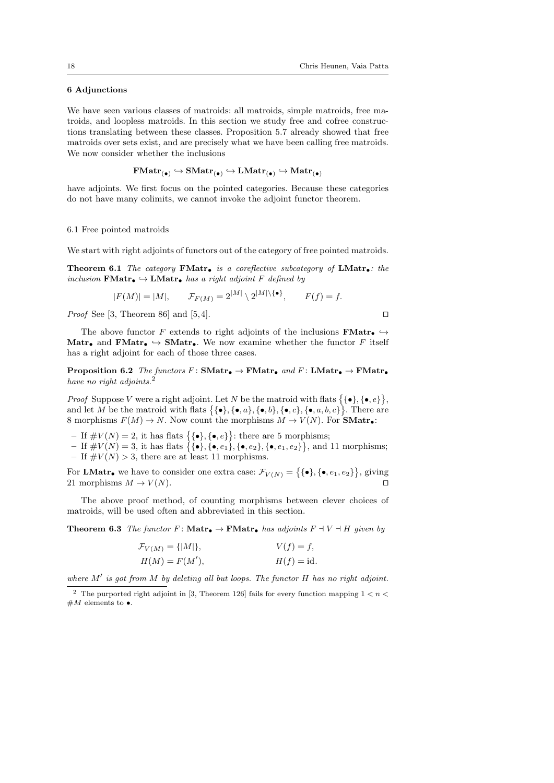### 6 Adjunctions

We have seen various classes of matroids: all matroids, simple matroids, free matroids, and loopless matroids. In this section we study free and cofree constructions translating between these classes. Proposition 5.7 already showed that free matroids over sets exist, and are precisely what we have been calling free matroids. We now consider whether the inclusions

 $\mathrm{FMatr}_{(\bullet)} \hookrightarrow \mathrm{SMatr}_{(\bullet)} \hookrightarrow \mathrm{LMatr}_{(\bullet)} \hookrightarrow \mathrm{Matr}_{(\bullet)}$ 

have adjoints. We first focus on the pointed categories. Because these categories do not have many colimits, we cannot invoke the adjoint functor theorem.

#### 6.1 Free pointed matroids

We start with right adjoints of functors out of the category of free pointed matroids.

Theorem 6.1 The category FMatro is a coreflective subcategory of  $LMatr$ . the inclusion  $\mathbf{FMatr}_{\bullet} \hookrightarrow \mathbf{LMatr}_{\bullet}$  has a right adjoint F defined by

$$
|F(M)| = |M|, \qquad \mathcal{F}_{F(M)} = 2^{|M|} \setminus 2^{|M| \setminus {\{\bullet\}}}, \qquad F(f) = f.
$$

*Proof* See [3, Theorem 86] and [5,4].

The above functor F extends to right adjoints of the inclusions **FMatr.**  $\rightarrow$ Matr<sub>•</sub> and **FMatr**•  $\hookrightarrow$  **SMatr**•. We now examine whether the functor F itself has a right adjoint for each of those three cases.

**Proposition 6.2** The functors  $F: SMatr_{\bullet} \to FMatr_{\bullet}$  and  $F: LMatr_{\bullet} \to FMatr_{\bullet}$ have no right adjoints.

*Proof* Suppose V were a right adjoint. Let N be the matroid with flats  $\{\{\bullet\}, \{\bullet, e\}\},$ and let M be the matroid with flats  $\{\{\bullet\}, \{\bullet, a\}, \{\bullet, b\}, \{\bullet, c\}, \{\bullet, a, b, c\}\}\$ . There are 8 morphisms  $F(M) \to N$ . Now count the morphisms  $M \to V(N)$ . For **SMatr.** 

- If  $\#V(N) = 2$ , it has flats  $\{\{\bullet\}, \{\bullet, e\}\}$ : there are 5 morphisms;
- $-$  If  $\#V(N) = 3$ , it has flats  $\{\{\bullet\}, \{\bullet, e_1\}, \{\bullet, e_2\}, \{\bullet, e_1, e_2\}\},$  and 11 morphisms; – If  $\#V(N) > 3$ , there are at least 11 morphisms.

For **LMatr**. we have to consider one extra case:  $\mathcal{F}_{V(N)} = \{ \{\bullet\}, \{\bullet, e_1, e_2\} \}$ , giving 21 morphisms  $M \to V(N)$ .

The above proof method, of counting morphisms between clever choices of matroids, will be used often and abbreviated in this section.

**Theorem 6.3** The functor F:  $\textbf{Matrix}_{\bullet} \to \textbf{FMatr}_{\bullet}$  has adjoints  $F \dashv V \dashv H$  given by

$$
\mathcal{F}_{V(M)} = \{|M|\}, \qquad V(f) = f,
$$
  
\n
$$
H(M) = F(M'), \qquad H(f) = id.
$$

where  $M'$  is got from M by deleting all but loops. The functor H has no right adjoint.

 $^2\,$  The purported right adjoint in [3, Theorem 126] fails for every function mapping  $1 < n <$  $#M$  elements to  $\bullet$ .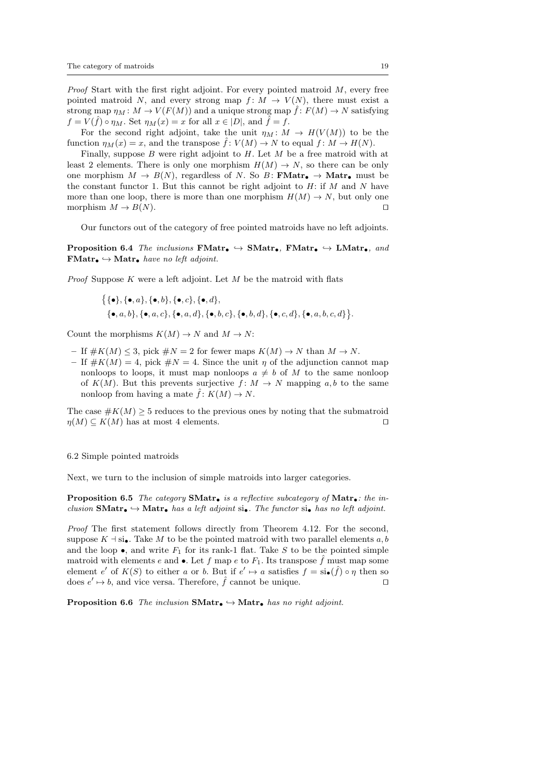*Proof* Start with the first right adjoint. For every pointed matroid  $M$ , every free pointed matroid N, and every strong map  $f: M \to V(N)$ , there must exist a strong map  $\eta_M : M \to V(F(M))$  and a unique strong map  $\hat{f} : F(M) \to N$  satisfying  $f = V(\tilde{f}) \circ \eta_M$ . Set  $\eta_M(x) = x$  for all  $x \in |D|$ , and  $\tilde{f} = f$ .

For the second right adjoint, take the unit  $\eta_M \colon M \to H(V(M))$  to be the function  $\eta_M(x) = x$ , and the transpose  $\hat{f}: V(M) \to N$  to equal  $f: M \to H(N)$ .

Finally, suppose B were right adjoint to  $H$ . Let  $M$  be a free matroid with at least 2 elements. There is only one morphism  $H(M) \to N$ , so there can be only one morphism  $M \to B(N)$ , regardless of N. So B: **FMatr**,  $\to$  **Matr**, must be the constant functor 1. But this cannot be right adjoint to  $H:$  if M and N have more than one loop, there is more than one morphism  $H(M) \to N$ , but only one morphism  $M \to B(N)$ .

Our functors out of the category of free pointed matroids have no left adjoints.

**Proposition 6.4** The inclusions  $\mathbf{FMatr}_{\bullet} \hookrightarrow \mathbf{SMatr}_{\bullet}$ ,  $\mathbf{FMatr}_{\bullet} \hookrightarrow \mathbf{LMatr}_{\bullet}$ , and  $\mathbf{FMatr}_{\bullet} \hookrightarrow \mathbf{Matr}_{\bullet}$  have no left adjoint.

*Proof* Suppose  $K$  were a left adjoint. Let  $M$  be the matroid with flats

$$
\{\{\bullet\}, \{\bullet, a\}, \{\bullet, b\}, \{\bullet, c\}, \{\bullet, d\},\
$$

$$
\{\bullet, a, b\}, \{\bullet, a, c\}, \{\bullet, a, d\}, \{\bullet, b, c\}, \{\bullet, b, d\}, \{\bullet, c, d\}, \{\bullet, a, b, c, d\}\}.
$$

Count the morphisms  $K(M) \to N$  and  $M \to N$ :

- If  $\#K(M) \leq 3$ , pick  $\#N = 2$  for fewer maps  $K(M) \to N$  than  $M \to N$ .
- If  $\#K(M) = 4$ , pick  $\#N = 4$ . Since the unit  $\eta$  of the adjunction cannot map nonloops to loops, it must map nonloops  $a \neq b$  of M to the same nonloop of  $K(M)$ . But this prevents surjective  $f: M \to N$  mapping a, b to the same nonloop from having a mate  $\hat{f}: K(M) \to N$ .

The case  $\#K(M) \geq 5$  reduces to the previous ones by noting that the submatroid  $\eta(M) \subseteq K(M)$  has at most 4 elements.

6.2 Simple pointed matroids

Next, we turn to the inclusion of simple matroids into larger categories.

**Proposition 6.5** The category **SMatr**. is a reflective subcategory of **Matr.** the inclusion **SMatr** $\bullet \rightarrow$  Matr<sub> $\bullet$ </sub> has a left adjoint si $\bullet$ . The functor si $\bullet$  has no left adjoint.

Proof The first statement follows directly from Theorem 4.12. For the second, suppose  $K \dashv \text{si}_\bullet$ . Take M to be the pointed matroid with two parallel elements a, b and the loop  $\bullet$ , and write  $F_1$  for its rank-1 flat. Take S to be the pointed simple matroid with elements e and •. Let f map e to  $F_1$ . Its transpose f must map some element e' of  $K(S)$  to either a or b. But if  $e' \mapsto a$  satisfies  $f = \text{si}_{\bullet}(\hat{f}) \circ \eta$  then so does  $e' \mapsto b$ , and vice versa. Therefore,  $\hat{f}$  cannot be unique.

**Proposition 6.6** The inclusion  $SMatr_{\bullet} \hookrightarrow Matr_{\bullet}$  has no right adjoint.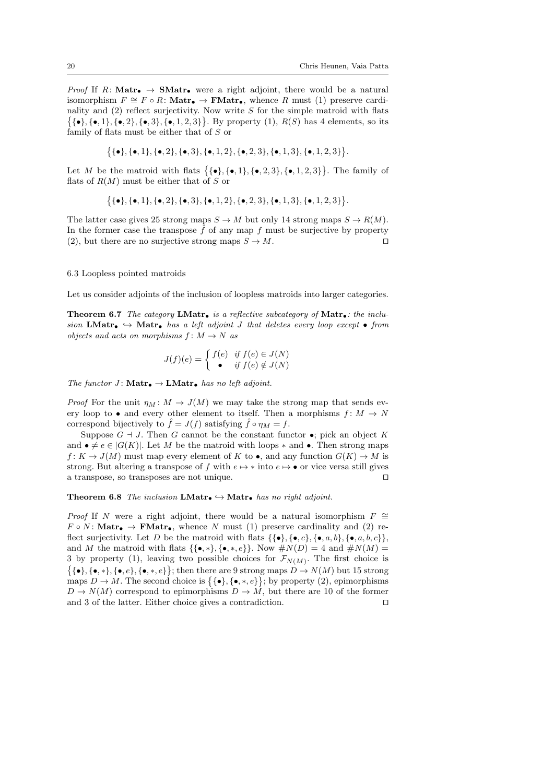*Proof* If R: Matr<sub>•</sub>  $\rightarrow$  SMatr<sub>•</sub> were a right adjoint, there would be a natural isomorphism  $F \cong F \circ R$ : Matr. → FMatr., whence R must (1) preserve cardinality and  $(2)$  reflect surjectivity. Now write S for the simple matroid with flats  $\{\{\bullet\}, \{\bullet, 1\}, \{\bullet, 2\}, \{\bullet, 3\}, \{\bullet, 1, 2, 3\}\}.$  By property (1),  $R(S)$  has 4 elements, so its family of flats must be either that of S or

$$
\{\{\bullet\}, \{\bullet, 1\}, \{\bullet, 2\}, \{\bullet, 3\}, \{\bullet, 1, 2\}, \{\bullet, 2, 3\}, \{\bullet, 1, 3\}, \{\bullet, 1, 2, 3\}\}.
$$

Let M be the matroid with flats  $\{\{\bullet\}, \{\bullet, 1\}, \{\bullet, 2, 3\}, \{\bullet, 1, 2, 3\}\}\.$  The family of flats of  $R(M)$  must be either that of S or

$$
\big\{ \{\bullet\}, \{\bullet,1\}, \{\bullet,2\}, \{\bullet,3\}, \{\bullet,1,2\}, \{\bullet,2,3\}, \{\bullet,1,3\}, \{\bullet,1,2,3\} \big\}.
$$

The latter case gives 25 strong maps  $S \to M$  but only 14 strong maps  $S \to R(M)$ . In the former case the transpose  $\hat{f}$  of any map f must be surjective by property (2), but there are no surjective strong maps  $S \to M$ .

#### 6.3 Loopless pointed matroids

Let us consider adjoints of the inclusion of loopless matroids into larger categories.

**Theorem 6.7** The category **LMatr.** is a reflective subcategory of **Matr.**: the inclusion LMatr.  $\rightarrow$  Matr. has a left adjoint J that deletes every loop except • from objects and acts on morphisms  $f: M \to N$  as

$$
J(f)(e) = \begin{cases} f(e) & \text{if } f(e) \in J(N) \\ \bullet & \text{if } f(e) \notin J(N) \end{cases}
$$

The functor  $J:$  **Matr** $\bullet \rightarrow$  **LMatr** $\bullet$  has no left adjoint.

*Proof* For the unit  $\eta_M : M \to J(M)$  we may take the strong map that sends every loop to • and every other element to itself. Then a morphisms  $f: M \to N$ correspond bijectively to  $\hat{f} = J(f)$  satisfying  $\hat{f} \circ \eta_M = f$ .

Suppose  $G \dashv J$ . Then G cannot be the constant functor  $\bullet$ ; pick an object K and  $\bullet \neq e \in |G(K)|$ . Let M be the matroid with loops  $*$  and  $\bullet$ . Then strong maps  $f: K \to J(M)$  must map every element of K to  $\bullet$ , and any function  $G(K) \to M$  is strong. But altering a transpose of f with  $e \mapsto *$  into  $e \mapsto \bullet$  or vice versa still gives a transpose, so transposes are not unique.  $\Box$ 

Theorem 6.8 The inclusion  $LMatr_{\bullet} \hookrightarrow Matr_{\bullet}$  has no right adjoint.

*Proof* If N were a right adjoint, there would be a natural isomorphism  $F \cong$  $F \circ N$ : Matr<sub> $\bullet \rightarrow$ </sub> FMatr<sub> $\bullet$ </sub>, whence N must (1) preserve cardinality and (2) reflect surjectivity. Let D be the matroid with flats  $\{\{\bullet\}, \{\bullet, c\}, \{\bullet, a, b\}, \{\bullet, a, b, c\}\},\$ and M the matroid with flats  $\{\{\bullet, *\}, \{\bullet, *, e\}\}\.$  Now  $\#N(D) = 4$  and  $\#N(M) =$ 3 by property (1), leaving two possible choices for  $\mathcal{F}_{N(M)}$ . The first choice is  $\{\{\bullet\}, \{\bullet, *\}, \{\bullet, e\}, \{\bullet, e\}\};$  then there are 9 strong maps  $D \to N(M)$  but 15 strong maps  $D \to M$ . The second choice is  $\{\{\bullet\}, \{\bullet, *, e\}\}\;$  by property (2), epimorphisms  $D \to N(M)$  correspond to epimorphisms  $D \to M$ , but there are 10 of the former and 3 of the latter. Either choice gives a contradiction.  $\Box$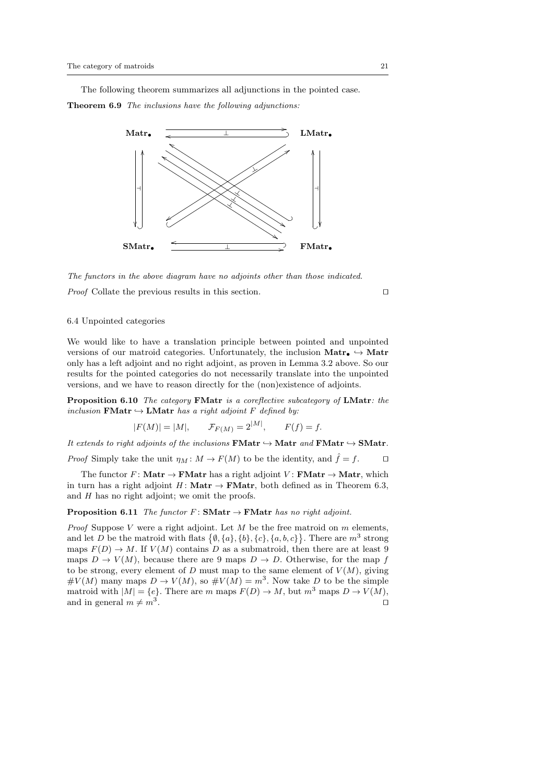The following theorem summarizes all adjunctions in the pointed case. Theorem 6.9 The inclusions have the following adjunctions:



The functors in the above diagram have no adjoints other than those indicated.

*Proof* Collate the previous results in this section.  $\square$ 

## 6.4 Unpointed categories

We would like to have a translation principle between pointed and unpointed versions of our matroid categories. Unfortunately, the inclusion  $\text{Matrix}_{\bullet} \hookrightarrow \text{Matrix}_{\bullet}$ only has a left adjoint and no right adjoint, as proven in Lemma 3.2 above. So our results for the pointed categories do not necessarily translate into the unpointed versions, and we have to reason directly for the (non)existence of adjoints.

Proposition 6.10 The category FMatr is a coreflective subcategory of LMatr: the inclusion  $\mathbf{FMatr} \hookrightarrow \mathbf{LMatr}$  has a right adjoint F defined by:

$$
|F(M)| = |M|,
$$
  $\mathcal{F}_{F(M)} = 2^{|M|},$   $F(f) = f.$ 

It extends to right adjoints of the inclusions  $\mathbf{FMatr} \hookrightarrow \mathbf{Matrix}$  and  $\mathbf{FMatr} \hookrightarrow \mathbf{SMatr}$ . *Proof* Simply take the unit  $\eta_M : M \to F(M)$  to be the identity, and  $\hat{f} = f$ .

The functor F: Matr  $\rightarrow$  FMatr has a right adjoint V: FMatr  $\rightarrow$  Matr, which in turn has a right adjoint  $H:$  **Matr**  $\rightarrow$  **FMatr**, both defined as in Theorem 6.3, and  $H$  has no right adjoint; we omit the proofs.

**Proposition 6.11** The functor  $F: SMatr \rightarrow FMatr$  has no right adjoint.

*Proof* Suppose  $V$  were a right adjoint. Let  $M$  be the free matroid on  $m$  elements, and let D be the matroid with flats  $\{\emptyset, \{a\}, \{b\}, \{c\}, \{a, b, c\}\}\$ . There are  $m^3$  strong maps  $F(D) \to M$ . If  $V(M)$  contains D as a submatroid, then there are at least 9 maps  $D \to V(M)$ , because there are 9 maps  $D \to D$ . Otherwise, for the map f to be strong, every element of D must map to the same element of  $V(M)$ , giving  $\#V(M)$  many maps  $D \to V(M)$ , so  $\#V(M) = m^3$ . Now take D to be the simple matroid with  $|M| = \{e\}$ . There are m maps  $F(D) \to M$ , but  $m^3$  maps  $D \to V(M)$ , and in general  $m \neq m^3$ . . The contract of the contract of the contract  $\Box$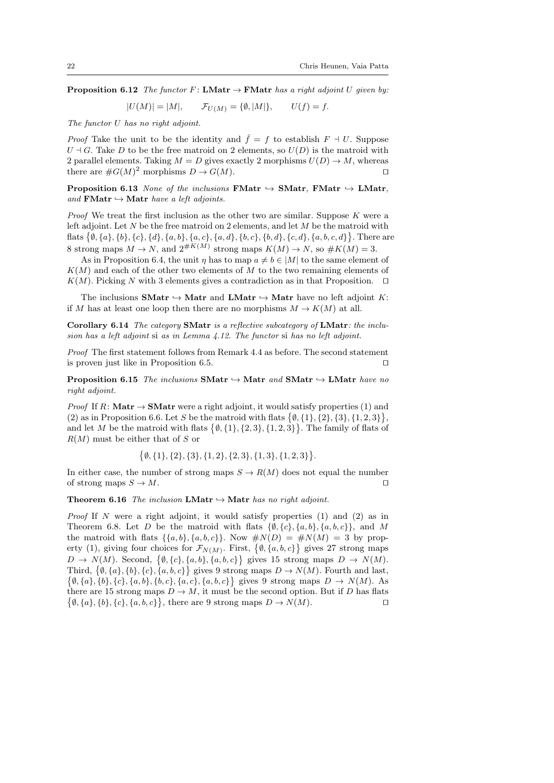**Proposition 6.12** The functor F: LMatr  $\rightarrow$  FMatr has a right adjoint U given by:

 $|U(M)| = |M|,$   $\mathcal{F}_{U(M)} = {\emptyset, |M|},$   $U(f) = f.$ 

The functor U has no right adjoint.

*Proof* Take the unit to be the identity and  $\hat{f} = f$  to establish  $F \dashv U$ . Suppose  $U \dashv G$ . Take D to be the free matroid on 2 elements, so  $U(D)$  is the matroid with 2 parallel elements. Taking  $M = D$  gives exactly 2 morphisms  $U(D) \to M$ , whereas there are  $\#G(M)^2$  morphisms  $D \to G(M)$ .

**Proposition 6.13** None of the inclusions **FMatr**  $\rightarrow$  **SMatr**, **FMatr**  $\rightarrow$  **LMatr**, and **FMatr**  $\rightarrow$  **Matr** have a left adjoints.

*Proof* We treat the first inclusion as the other two are similar. Suppose  $K$  were a left adjoint. Let  $N$  be the free matroid on 2 elements, and let  $M$  be the matroid with flats  $\{\emptyset, \{a\}, \{b\}, \{c\}, \{d\}, \{a, b\}, \{a, c\}, \{a, d\}, \{b, c\}, \{b, d\}, \{c, d\}, \{a, b, c, d\}\}.$  There are 8 strong maps  $M \to N$ , and  $2^{\#K(M)}$  strong maps  $K(M) \to N$ , so  $\#K(M) = 3$ .

As in Proposition 6.4, the unit  $\eta$  has to map  $a \neq b \in |M|$  to the same element of  $K(M)$  and each of the other two elements of M to the two remaining elements of  $K(M)$ . Picking N with 3 elements gives a contradiction as in that Proposition.  $\Box$ 

The inclusions **SMatr**  $\rightarrow$  **Matr** and **LMatr**  $\rightarrow$  **Matr** have no left adjoint K: if M has at least one loop then there are no morphisms  $M \to K(M)$  at all.

Corollary 6.14 The category SMatr is a reflective subcategory of LMatr: the inclusion has a left adjoint si as in Lemma 4.12. The functor si has no left adjoint.

Proof The first statement follows from Remark 4.4 as before. The second statement is proven just like in Proposition 6.5.  $\Box$ 

**Proposition 6.15** The inclusions  $SMatr \hookrightarrow Matr$  and  $SMatr \hookrightarrow LMatr$  have no right adjoint.

*Proof* If R: Matr  $\rightarrow$  **SMatr** were a right adjoint, it would satisfy properties (1) and (2) as in Proposition 6.6. Let S be the matroid with flats  $\{\emptyset, \{1\}, \{2\}, \{3\}, \{1, 2, 3\}\}\,$ and let M be the matroid with flats  $\{\emptyset, \{1\}, \{2,3\}, \{1,2,3\}\}\$ . The family of flats of  $R(M)$  must be either that of S or

$$
\{\emptyset, \{1\}, \{2\}, \{3\}, \{1,2\}, \{2,3\}, \{1,3\}, \{1,2,3\}\}.
$$

In either case, the number of strong maps  $S \to R(M)$  does not equal the number of strong maps  $S \to M$ .

Theorem 6.16 The inclusion LMatr  $\hookrightarrow$  Matr has no right adjoint.

*Proof* If N were a right adjoint, it would satisfy properties  $(1)$  and  $(2)$  as in Theorem 6.8. Let D be the matroid with flats  $\{\emptyset, \{c\}, \{a, b\}, \{a, b, c\}\}\$ , and M the matroid with flats  $\{\{a, b\}, \{a, b, c\}\}\$ . Now  $\#N(D) = \#N(M) = 3$  by property (1), giving four choices for  $\mathcal{F}_{N(M)}$ . First,  $\{\emptyset, \{a, b, c\}\}\$ gives 27 strong maps  $D \to N(M)$ . Second,  $\{\emptyset, \{c\}, \{a, b\}, \{a, b, c\}\}\$ gives 15 strong maps  $D \to N(M)$ . Third,  $\{\emptyset, \{a\}, \{b\}, \{c\}, \{a, b, c\}\}\$ gives 9 strong maps  $D \to N(M)$ . Fourth and last,  $\{\emptyset, \{a\}, \{b\}, \{c\}, \{a, b\}, \{b, c\}, \{a, c\}, \{a, b, c\}\}\$ gives 9 strong maps  $D \to N(M)$ . As there are 15 strong maps  $D \to M$ , it must be the second option. But if D has flats  $\{\emptyset, \{a\}, \{b\}, \{c\}, \{a, b, c\}\}\,$ , there are 9 strong maps  $D \to N(M)$ .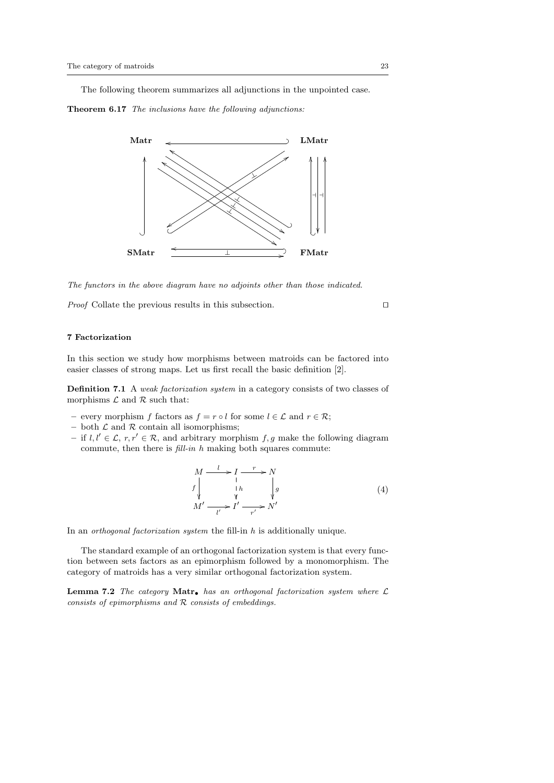The following theorem summarizes all adjunctions in the unpointed case.

Theorem 6.17 The inclusions have the following adjunctions:



The functors in the above diagram have no adjoints other than those indicated.

*Proof* Collate the previous results in this subsection.  $\Box$ 

### 7 Factorization

In this section we study how morphisms between matroids can be factored into easier classes of strong maps. Let us first recall the basic definition [2].

Definition 7.1 A weak factorization system in a category consists of two classes of morphisms  $\mathcal L$  and  $\mathcal R$  such that:

- every morphism f factors as  $f = r \circ l$  for some  $l \in \mathcal{L}$  and  $r \in \mathcal{R}$ ;
- both  $\mathcal L$  and  $\mathcal R$  contain all isomorphisms;
- if  $l, l' \in \mathcal{L}, r, r' \in \mathcal{R}$ , and arbitrary morphism  $f, g$  make the following diagram commute, then there is fill-in h making both squares commute:

$$
M \xrightarrow{l} I \xrightarrow{r} N
$$
  
\n
$$
f \downarrow h \qquad g
$$
  
\n
$$
M' \xrightarrow{l'} I' \xrightarrow{r'} N'
$$
  
\n(4)

In an *orthogonal factorization system* the fill-in  $h$  is additionally unique.

The standard example of an orthogonal factorization system is that every function between sets factors as an epimorphism followed by a monomorphism. The category of matroids has a very similar orthogonal factorization system.

**Lemma 7.2** The category Matr. has an orthogonal factorization system where  $\mathcal{L}$ consists of epimorphisms and R consists of embeddings.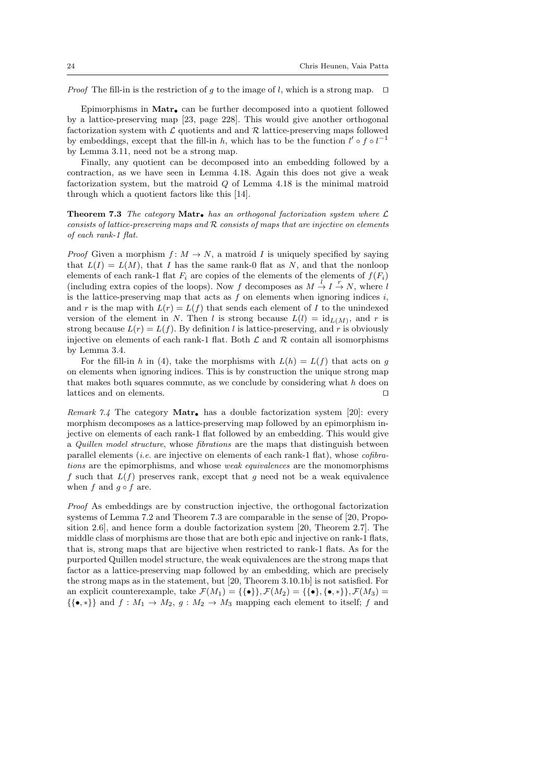*Proof* The fill-in is the restriction of g to the image of l, which is a strong map.  $\Box$ 

Epimorphisms in Matr• can be further decomposed into a quotient followed by a lattice-preserving map [23, page 228]. This would give another orthogonal factorization system with  $\mathcal L$  quotients and and  $\mathcal R$  lattice-preserving maps followed by embeddings, except that the fill-in h, which has to be the function  $l' \circ f \circ l^{-1}$ by Lemma 3.11, need not be a strong map.

Finally, any quotient can be decomposed into an embedding followed by a contraction, as we have seen in Lemma 4.18. Again this does not give a weak factorization system, but the matroid Q of Lemma 4.18 is the minimal matroid through which a quotient factors like this [14].

**Theorem 7.3** The category **Matr.** has an orthogonal factorization system where  $\mathcal{L}$ consists of lattice-preserving maps and  $R$  consists of maps that are injective on elements of each rank-1 flat.

*Proof* Given a morphism  $f: M \to N$ , a matroid I is uniquely specified by saying that  $L(I) = L(M)$ , that I has the same rank-0 flat as N, and that the nonloop elements of each rank-1 flat  $F_i$  are copies of the elements of the elements of  $f(F_i)$ (including extra copies of the loops). Now f decomposes as  $M \stackrel{l}{\rightarrow} I \stackrel{r}{\rightarrow} N$ , where l is the lattice-preserving map that acts as  $f$  on elements when ignoring indices  $i$ , and r is the map with  $L(r) = L(f)$  that sends each element of I to the unindexed version of the element in N. Then l is strong because  $L(l) = id_{L(M)}$ , and r is strong because  $L(r) = L(f)$ . By definition l is lattice-preserving, and r is obviously injective on elements of each rank-1 flat. Both  $\mathcal L$  and  $\mathcal R$  contain all isomorphisms by Lemma 3.4.

For the fill-in h in (4), take the morphisms with  $L(h) = L(f)$  that acts on g on elements when ignoring indices. This is by construction the unique strong map that makes both squares commute, as we conclude by considering what  $h$  does on lattices and on elements.  $\Box$ 

Remark 7.4 The category Matr. has a double factorization system [20]: every morphism decomposes as a lattice-preserving map followed by an epimorphism injective on elements of each rank-1 flat followed by an embedding. This would give a Quillen model structure, whose fibrations are the maps that distinguish between parallel elements (*i.e.* are injective on elements of each rank-1 flat), whose  $cofbra$ tions are the epimorphisms, and whose weak equivalences are the monomorphisms f such that  $L(f)$  preserves rank, except that q need not be a weak equivalence when f and  $g \circ f$  are.

Proof As embeddings are by construction injective, the orthogonal factorization systems of Lemma 7.2 and Theorem 7.3 are comparable in the sense of [20, Proposition 2.6], and hence form a double factorization system [20, Theorem 2.7]. The middle class of morphisms are those that are both epic and injective on rank-1 flats, that is, strong maps that are bijective when restricted to rank-1 flats. As for the purported Quillen model structure, the weak equivalences are the strong maps that factor as a lattice-preserving map followed by an embedding, which are precisely the strong maps as in the statement, but [20, Theorem 3.10.1b] is not satisfied. For an explicit counterexample, take  $\mathcal{F}(M_1) = \{\{\bullet\}\}\ \mathcal{F}(M_2) = \{\{\bullet\}, \{\bullet, *\}\}\ \mathcal{F}(M_3) =$  $\{\{\bullet,\ast\}\}\$ and  $f: M_1 \to M_2, g: M_2 \to M_3$  mapping each element to itself; f and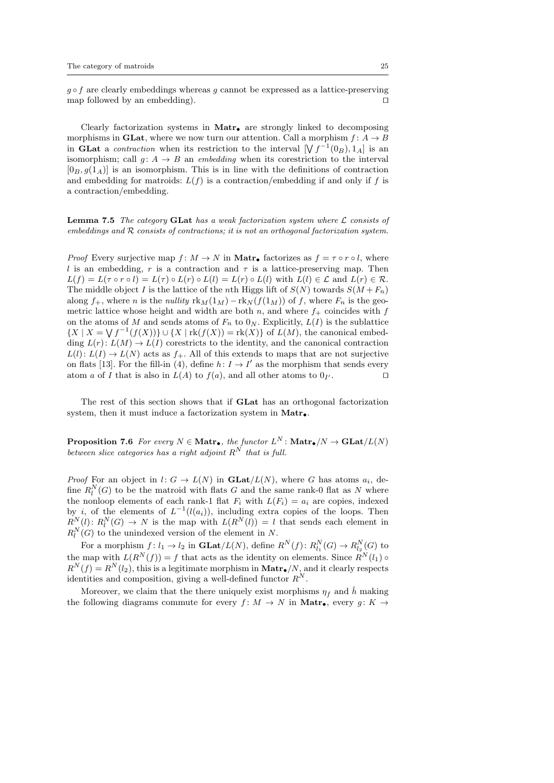$g \circ f$  are clearly embeddings whereas g cannot be expressed as a lattice-preserving map followed by an embedding).  $\Box$ 

Clearly factorization systems in  $Matr$  are strongly linked to decomposing morphisms in **GLat**, where we now turn our attention. Call a morphism  $f: A \rightarrow B$ in GLat a *contraction* when its restriction to the interval  $[\forall f^{-1}(0_B), 1_A]$  is an isomorphism; call  $q: A \rightarrow B$  an *embedding* when its corestriction to the interval  $[0_B, q(1_A)]$  is an isomorphism. This is in line with the definitions of contraction and embedding for matroids:  $L(f)$  is a contraction/embedding if and only if f is a contraction/embedding.

**Lemma 7.5** The category **GLat** has a weak factorization system where  $\mathcal{L}$  consists of embeddings and  $R$  consists of contractions; it is not an orthogonal factorization system.

*Proof* Every surjective map  $f : M \to N$  in Matr<sub>•</sub> factorizes as  $f = \tau \circ r \circ l$ , where l is an embedding, r is a contraction and  $\tau$  is a lattice-preserving map. Then  $L(f) = L(\tau \circ r \circ l) = L(\tau) \circ L(r) \circ L(l) = L(r) \circ L(l)$  with  $L(l) \in \mathcal{L}$  and  $L(r) \in \mathcal{R}$ . The middle object I is the lattice of the nth Higgs lift of  $S(N)$  towards  $S(M + F_n)$ along  $f_+$ , where n is the nullity  $\text{rk}_M(1_M) - \text{rk}_N(f(1_M))$  of f, where  $F_n$  is the geometric lattice whose height and width are both n, and where  $f_{+}$  coincides with f on the atoms of M and sends atoms of  $F_n$  to  $0_N$ . Explicitly,  $L(I)$  is the sublattice  ${X \mid X = \bigvee f^{-1}(f(X))\} \cup {X \mid \text{rk}(f(X)) = \text{rk}(X)}$  of  $L(M)$ , the canonical embedding  $L(r): L(M) \to L(I)$  corestricts to the identity, and the canonical contraction  $L(l): L(I) \to L(N)$  acts as  $f_+$ . All of this extends to maps that are not surjective on flats [13]. For the fill-in (4), define  $h: I \to I'$  as the morphism that sends every atom a of I that is also in  $L(A)$  to  $f(a)$ , and all other atoms to  $0<sub>I'</sub>$ .  $\overline{\phantom{a}}$ 

The rest of this section shows that if GLat has an orthogonal factorization system, then it must induce a factorization system in  $\text{Matr}_{\bullet}$ .

**Proposition 7.6** For every  $N \in \mathbf{Matr}_{\bullet}$ , the functor  $L^N$ :  $\mathbf{Matr}_{\bullet}/N \to \mathbf{GLat}/L(N)$ between slice categories has a right adjoint  $R^N$  that is full.

*Proof* For an object in  $l: G \to L(N)$  in  $\text{GLat}/L(N)$ , where G has atoms  $a_i$ , define  $R_l^N(G)$  to be the matroid with flats G and the same rank-0 flat as N where the nonloop elements of each rank-1 flat  $F_i$  with  $L(F_i) = a_i$  are copies, indexed by *i*, of the elements of  $L^{-1}(l(a_i))$ , including extra copies of the loops. Then  $R_N^N(l): R_l^N(G) \to N$  is the map with  $L(R^N(l)) = l$  that sends each element in  $R_l^N(G)$  to the unindexed version of the element in N.

For a morphism  $f: l_1 \to l_2$  in  $\mathbf{GLat}/L(N)$ , define  $R^N(f): R_{l_1}^N(G) \to R_{l_2}^N(G)$  to the map with  $L(R^N(f)) = f$  that acts as the identity on elements. Since  $R^N(l_1)$  of  $R^{N}(f) = R^{N}(l_2)$ , this is a legitimate morphism in **Matr** $\bullet$ /N, and it clearly respects identities and composition, giving a well-defined functor  $R^N$ .

Moreover, we claim that the there uniquely exist morphisms  $\eta_f$  and  $\hat{h}$  making the following diagrams commute for every f:  $M \to N$  in Matr<sub>•</sub>, every g:  $K \to$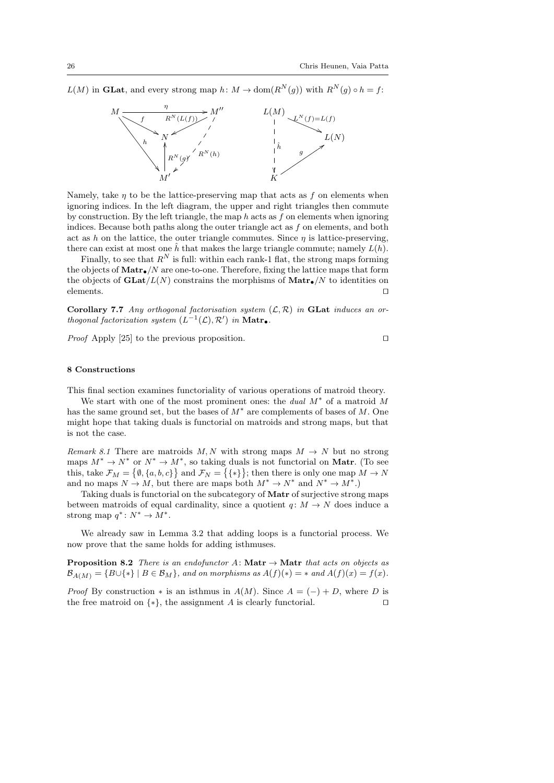$L(M)$  in **GLat**, and every strong map  $h: M \to \text{dom}(R^N(g))$  with  $R^N(g) \circ h = f$ :



Namely, take  $\eta$  to be the lattice-preserving map that acts as f on elements when ignoring indices. In the left diagram, the upper and right triangles then commute by construction. By the left triangle, the map h acts as f on elements when ignoring indices. Because both paths along the outer triangle act as f on elements, and both act as h on the lattice, the outer triangle commutes. Since  $\eta$  is lattice-preserving, there can exist at most one  $\hat{h}$  that makes the large triangle commute; namely  $L(h)$ .

Finally, to see that  $R^N$  is full: within each rank-1 flat, the strong maps forming the objects of  $\text{Matrix}_\bullet/N$  are one-to-one. Therefore, fixing the lattice maps that form the objects of  $\text{GLat}/L(N)$  constrains the morphisms of  $\text{Matr}_{\bullet}/N$  to identities on  $\blacksquare$ elements.

Corollary 7.7 Any orthogonal factorisation system  $(\mathcal{L}, \mathcal{R})$  in GLat induces an orthogonal factorization system  $(L^{-1}(\mathcal{L}), \mathcal{R}')$  in **Matro**.

*Proof* Apply [25] to the previous proposition.  $\square$ 

#### 8 Constructions

This final section examines functoriality of various operations of matroid theory.

We start with one of the most prominent ones: the *dual*  $M^*$  of a matroid  $M$ has the same ground set, but the bases of  $M^*$  are complements of bases of M. One might hope that taking duals is functorial on matroids and strong maps, but that is not the case.

Remark 8.1 There are matroids M, N with strong maps  $M \to N$  but no strong maps  $M^* \to N^*$  or  $N^* \to M^*$ , so taking duals is not functorial on Matr. (To see this, take  $\mathcal{F}_M = \{ \emptyset, \{a, b, c\} \}$  and  $\mathcal{F}_N = \{ \{ * \} \}$ ; then there is only one map  $M \to N$ and no maps  $N \to M$ , but there are maps both  $M^* \to N^*$  and  $N^* \to M^*$ .)

Taking duals is functorial on the subcategory of Matr of surjective strong maps between matroids of equal cardinality, since a quotient  $q: M \to N$  does induce a strong map  $q^*: N^* \to M^*.$ 

We already saw in Lemma 3.2 that adding loops is a functorial process. We now prove that the same holds for adding isthmuses.

**Proposition 8.2** There is an endofunctor A: Matr  $\rightarrow$  Matr that acts on objects as  $\mathcal{B}_{A(M)} = \{B \cup \{*\} \mid B \in \mathcal{B}_M\},\$ and on morphisms as  $A(f)(*) = *$  and  $A(f)(x) = f(x)$ .

*Proof* By construction  $*$  is an isthmus in  $A(M)$ . Since  $A = (-) + D$ , where D is the free matroid on  $\{*\}$ , the assignment A is clearly functorial.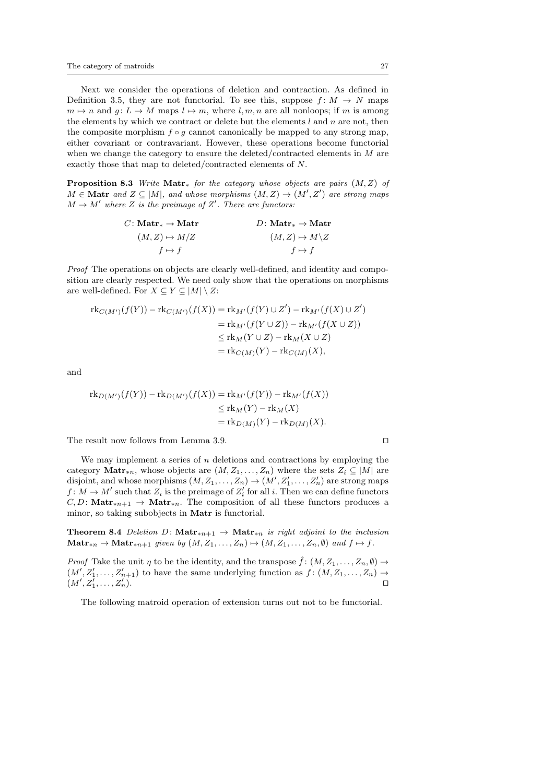Next we consider the operations of deletion and contraction. As defined in Definition 3.5, they are not functorial. To see this, suppose  $f: M \to N$  maps  $m \mapsto n$  and  $g: L \to M$  maps  $l \mapsto m$ , where  $l, m, n$  are all nonloops; if m is among the elements by which we contract or delete but the elements  $l$  and  $n$  are not, then the composite morphism  $f \circ g$  cannot canonically be mapped to any strong map, either covariant or contravariant. However, these operations become functorial when we change the category to ensure the deleted/contracted elements in M are exactly those that map to deleted/contracted elements of N.

**Proposition 8.3** Write  $\text{Matr}_*$  for the category whose objects are pairs  $(M, Z)$  of  $M \in \mathbf{Matr}$  and  $Z \subseteq |M|$ , and whose morphisms  $(M, Z) \to (M', Z')$  are strong maps  $M \to M'$  where Z is the preimage of Z'. There are functors:

$$
C: \text{Matr}_{*} \to \text{Matr} \qquad D: \text{Matr}_{*} \to \text{Matr}
$$
\n
$$
(M, Z) \mapsto M/Z \qquad (M, Z) \mapsto M \setminus Z
$$
\n
$$
f \mapsto f \qquad f \mapsto f
$$

Proof The operations on objects are clearly well-defined, and identity and composition are clearly respected. We need only show that the operations on morphisms are well-defined. For  $X \subseteq Y \subseteq |M| \setminus Z$ :

$$
\begin{aligned} \operatorname{rk}_{C(M')}(f(Y)) - \operatorname{rk}_{C(M')}(f(X)) &= \operatorname{rk}_{M'}(f(Y) \cup Z') - \operatorname{rk}_{M'}(f(X) \cup Z') \\ &= \operatorname{rk}_{M'}(f(Y \cup Z)) - \operatorname{rk}_{M'}(f(X \cup Z)) \\ &\leq \operatorname{rk}_{M}(Y \cup Z) - \operatorname{rk}_{M}(X \cup Z) \\ &= \operatorname{rk}_{C(M)}(Y) - \operatorname{rk}_{C(M)}(X), \end{aligned}
$$

and

$$
\mathrm{rk}_{D(M')}(f(Y)) - \mathrm{rk}_{D(M')}(f(X)) = \mathrm{rk}_{M'}(f(Y)) - \mathrm{rk}_{M'}(f(X))
$$
  
\n
$$
\leq \mathrm{rk}_{M}(Y) - \mathrm{rk}_{M}(X)
$$
  
\n
$$
= \mathrm{rk}_{D(M)}(Y) - \mathrm{rk}_{D(M)}(X).
$$

The result now follows from Lemma 3.9.  $\Box$ 

We may implement a series of  $n$  deletions and contractions by employing the category Matr<sub>\*n</sub>, whose objects are  $(M, Z_1, \ldots, Z_n)$  where the sets  $Z_i \subseteq |M|$  are disjoint, and whose morphisms  $(M, Z_1, ..., Z_n) \rightarrow (M', Z'_1, ..., Z'_n)$  are strong maps  $f: M \to M'$  such that  $Z_i$  is the preimage of  $Z_i'$  for all i. Then we can define functors  $C, D:$  Matr<sub>\*n+1</sub> → Matr<sub>\*n</sub>. The composition of all these functors produces a minor, so taking subobjects in Matr is functorial.

Theorem 8.4 Deletion D: Matr<sub>\*n+1</sub> → Matr<sub>\*n</sub> is right adjoint to the inclusion  $\text{Matr}_{*n} \to \text{Matr}_{*n+1}$  given by  $(M, Z_1, \ldots, Z_n) \mapsto (M, Z_1, \ldots, Z_n, \emptyset)$  and  $f \mapsto f$ .

*Proof* Take the unit  $\eta$  to be the identity, and the transpose  $\hat{f}$ :  $(M, Z_1, \ldots, Z_n, \emptyset) \rightarrow$  $(M', Z'_1, \ldots, Z'_{n+1})$  to have the same underlying function as  $f: (M, Z_1, \ldots, Z_n) \to$  $(M', Z'_1, \ldots, Z'_n).$ 

The following matroid operation of extension turns out not to be functorial.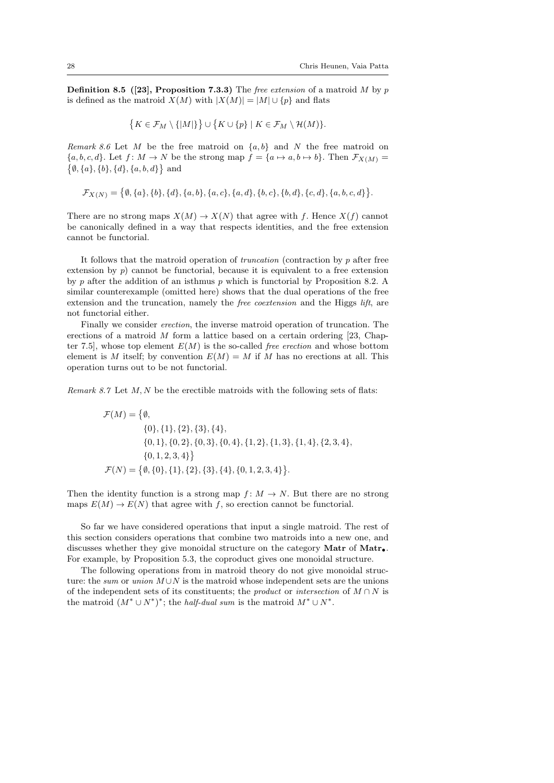**Definition 8.5** ([23], Proposition 7.3.3) The *free extension* of a matroid M by p is defined as the matroid  $X(M)$  with  $|X(M)| = |M| \cup \{p\}$  and flats

$$
\{K\in\mathcal{F}_M\setminus\{|M|\}\}\cup\{K\cup\{p\}\mid K\in\mathcal{F}_M\setminus\mathcal{H}(M)\}.
$$

Remark 8.6 Let M be the free matroid on  $\{a, b\}$  and N the free matroid on  ${a, b, c, d}$ . Let  $f: M \to N$  be the strong map  $f = {a \mapsto a, b \mapsto b}$ . Then  $\mathcal{F}_{X(M)} =$  $\{\emptyset, \{a\}, \{b\}, \{d\}, \{a, b, d\}\}\$ and

$$
\mathcal{F}_{X(N)} = \big\{\emptyset, \{a\}, \{b\}, \{d\}, \{a,b\}, \{a,c\}, \{a,d\}, \{b,c\}, \{b,d\}, \{c,d\}, \{a,b,c,d\}\big\}.
$$

There are no strong maps  $X(M) \to X(N)$  that agree with f. Hence  $X(f)$  cannot be canonically defined in a way that respects identities, and the free extension cannot be functorial.

It follows that the matroid operation of *truncation* (contraction by  $p$  after free extension by  $p$ ) cannot be functorial, because it is equivalent to a free extension by p after the addition of an isthmus p which is functorial by Proposition 8.2. A similar counterexample (omitted here) shows that the dual operations of the free extension and the truncation, namely the *free coextension* and the Higgs *lift*, are not functorial either.

Finally we consider erection, the inverse matroid operation of truncation. The erections of a matroid  $M$  form a lattice based on a certain ordering [23, Chapter 7.5], whose top element  $E(M)$  is the so-called *free erection* and whose bottom element is M itself; by convention  $E(M) = M$  if M has no erections at all. This operation turns out to be not functorial.

Remark 8.7 Let  $M, N$  be the erectible matroids with the following sets of flats:

$$
\mathcal{F}(M) = \{ \emptyset,
$$
  
{0}, {1}, {2}, {3}, {4},  
{0, 1}, {0, 2}, {0, 3}, {0, 4}, {1, 2}, {1, 3}, {1, 4}, {2, 3, 4},  
{0, 1, 2, 3, 4} \}  

$$
\mathcal{F}(N) = \{ \emptyset, \{0\}, \{1\}, \{2\}, \{3\}, \{4\}, \{0, 1, 2, 3, 4\} \}.
$$

Then the identity function is a strong map  $f: M \to N$ . But there are no strong maps  $E(M) \to E(N)$  that agree with f, so erection cannot be functorial.

So far we have considered operations that input a single matroid. The rest of this section considers operations that combine two matroids into a new one, and discusses whether they give monoidal structure on the category Matr of Matr. For example, by Proposition 5.3, the coproduct gives one monoidal structure.

The following operations from in matroid theory do not give monoidal structure: the sum or union  $M \cup N$  is the matroid whose independent sets are the unions of the independent sets of its constituents; the *product* or *intersection* of  $M \cap N$  is the matroid  $(M^* \cup N^*)^*$ ; the *half-dual sum* is the matroid  $M^* \cup N^*$ .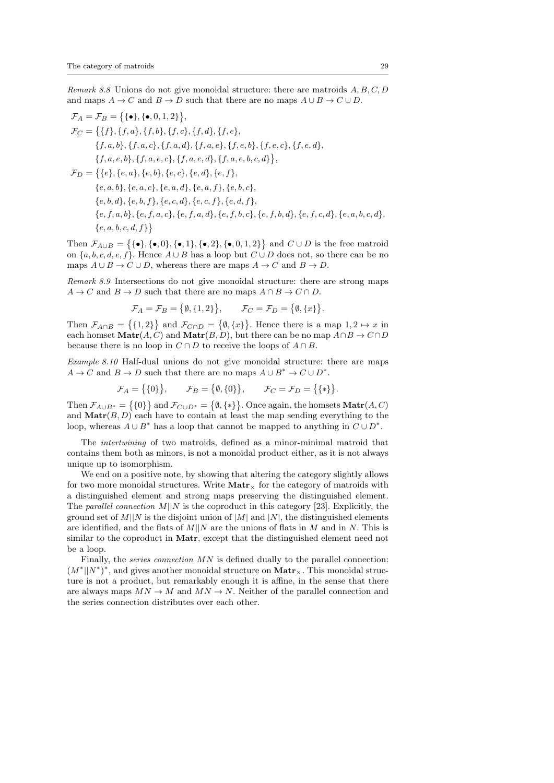Remark 8.8 Unions do not give monoidal structure: there are matroids  $A, B, C, D$ and maps  $A \to C$  and  $B \to D$  such that there are no maps  $A \cup B \to C \cup D$ .

$$
\mathcal{F}_A = \mathcal{F}_B = \{ \{\bullet\}, \{\bullet, 0, 1, 2\} \},
$$
\n
$$
\mathcal{F}_C = \{ \{f\}, \{f, a\}, \{f, b\}, \{f, c\}, \{f, d\}, \{f, e\},
$$
\n
$$
\{f, a, b\}, \{f, a, c\}, \{f, a, d\}, \{f, a, e\}, \{f, e, b\}, \{f, e, c\}, \{f, e, d\},
$$
\n
$$
\{f, a, e, b\}, \{f, a, e, c\}, \{f, a, e, d\}, \{f, a, e, b, c, d\} \},
$$
\n
$$
\mathcal{F}_D = \{ \{e\}, \{e, a\}, \{e, b\}, \{e, c\}, \{e, d\}, \{e, f\},
$$
\n
$$
\{e, a, b\}, \{e, a, c\}, \{e, a, d\}, \{e, a, f\}, \{e, b, c\},
$$
\n
$$
\{e, b, d\}, \{e, b, f\}, \{e, c, d\}, \{e, c, f\}, \{e, d, f\},
$$
\n
$$
\{e, f, a, b\}, \{e, f, a, c\}, \{e, f, a, d\}, \{e, f, b, c\}, \{e, f, b, d\}, \{e, f, c, d\}, \{e, a, b, c, d\},
$$
\n
$$
\{e, a, b, c, d, f\} \}
$$

Then  $\mathcal{F}_{A\cup B} = \{ \{\bullet\}, \{\bullet, 0\}, \{\bullet, 1\}, \{\bullet, 2\}, \{\bullet, 0, 1, 2\} \}$  and  $C \cup D$  is the free matroid on  $\{a, b, c, d, e, f\}$ . Hence  $A \cup B$  has a loop but  $C \cup D$  does not, so there can be no maps  $A \cup B \to C \cup D$ , whereas there are maps  $A \to C$  and  $B \to D$ .

Remark 8.9 Intersections do not give monoidal structure: there are strong maps  $A \to C$  and  $B \to D$  such that there are no maps  $A \cap B \to C \cap D$ .

> $\mathcal{F}_A = \mathcal{F}_B = \{ \emptyset, \{1,2\} \}$  $, \qquad \mathcal{F}_C = \mathcal{F}_D = \{ \emptyset, \{x\} \}.$

Then  $\mathcal{F}_{A\cap B} = \{1,2\}$  and  $\mathcal{F}_{C\cap D} = \{\emptyset, \{x\}\}\.$  Hence there is a map  $1, 2 \mapsto x$  in each homset  $\text{Matr}(A, C)$  and  $\text{Matr}(B, D)$ , but there can be no map  $A \cap B \to C \cap D$ because there is no loop in  $C \cap D$  to receive the loops of  $A \cap B$ .

Example 8.10 Half-dual unions do not give monoidal structure: there are maps  $A \to C$  and  $B \to D$  such that there are no maps  $A \cup B^* \to C \cup D^*$ .

$$
\mathcal{F}_A = \{0\}, \qquad \mathcal{F}_B = \{0, 0\}, \qquad \mathcal{F}_C = \mathcal{F}_D = \{\{\ast\}\}.
$$

Then  $\mathcal{F}_{A\cup B^*} = \{0\}$  and  $\mathcal{F}_{C\cup D^*} = \{0, \{*\}\}\.$  Once again, the homsets  $\text{Matr}(A, C)$ and  $\text{Matr}(B, D)$  each have to contain at least the map sending everything to the loop, whereas  $A \cup B^*$  has a loop that cannot be mapped to anything in  $C \cup D^*$ .

The intertwining of two matroids, defined as a minor-minimal matroid that contains them both as minors, is not a monoidal product either, as it is not always unique up to isomorphism.

We end on a positive note, by showing that altering the category slightly allows for two more monoidal structures. Write  $\text{Matrix}$  for the category of matroids with a distinguished element and strong maps preserving the distinguished element. The parallel connection  $M||N$  is the coproduct in this category [23]. Explicitly, the ground set of  $M||N$  is the disjoint union of  $|M|$  and  $|N|$ , the distinguished elements are identified, and the flats of  $M||N$  are the unions of flats in M and in N. This is similar to the coproduct in Matr, except that the distinguished element need not be a loop.

Finally, the *series connection MN* is defined dually to the parallel connection:  $(M^*||N^*)^*$ , and gives another monoidal structure on  $\text{Matr}_\times$ . This monoidal structure is not a product, but remarkably enough it is affine, in the sense that there are always maps  $MN \to M$  and  $MN \to N$ . Neither of the parallel connection and the series connection distributes over each other.